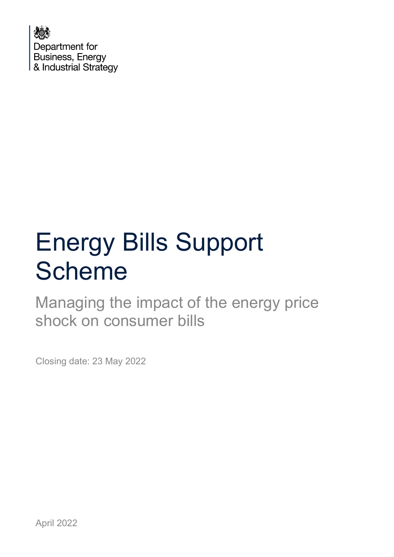

# Energy Bills Support Scheme

Managing the impact of the energy price shock on consumer bills

Closing date: 23 May 2022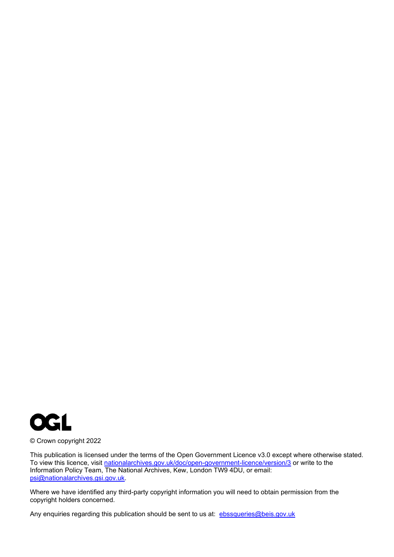

© Crown copyright 2022

This publication is licensed under the terms of the Open Government Licence v3.0 except where otherwise stated. To view this licence, visit [nationalarchives.gov.uk/doc/open-government-licence/version/3](http://nationalarchives.gov.uk/doc/open-government-licence/version/3/) or write to the Information Policy Team, The National Archives, Kew, London TW9 4DU, or email: [psi@nationalarchives.gsi.gov.uk.](mailto:psi@nationalarchives.gsi.gov.uk)

Where we have identified any third-party copyright information you will need to obtain permission from the copyright holders concerned.

Any enquiries regarding this publication should be sent to us at: [ebssqueries@beis.gov.uk](mailto:ebssqueries@beis.gov.uk)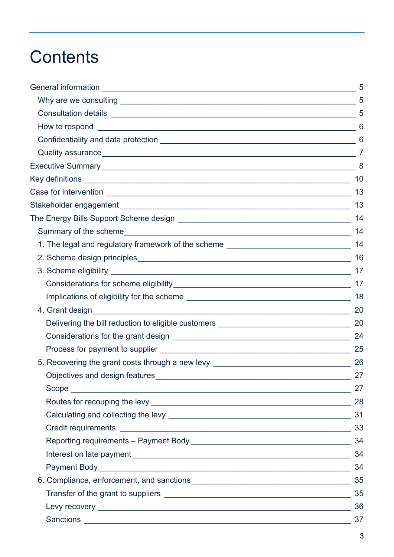## **Contents**

|                                                                                  | 5              |
|----------------------------------------------------------------------------------|----------------|
|                                                                                  |                |
|                                                                                  |                |
|                                                                                  | 6              |
|                                                                                  |                |
|                                                                                  | $\overline{7}$ |
|                                                                                  |                |
|                                                                                  |                |
|                                                                                  |                |
|                                                                                  | -13            |
|                                                                                  |                |
|                                                                                  | 14             |
|                                                                                  |                |
|                                                                                  |                |
|                                                                                  | 17             |
|                                                                                  |                |
|                                                                                  | 18             |
|                                                                                  | 20             |
|                                                                                  |                |
|                                                                                  |                |
|                                                                                  | 25             |
| 5. Recovering the grant costs through a new levy _______________________________ | -26            |
| Objectives and design features                                                   | 27             |
|                                                                                  |                |
|                                                                                  | 28             |
|                                                                                  |                |
|                                                                                  |                |
|                                                                                  | 34             |
|                                                                                  |                |
|                                                                                  | 34             |
|                                                                                  | 35             |
|                                                                                  |                |
|                                                                                  | 36             |
|                                                                                  | 37             |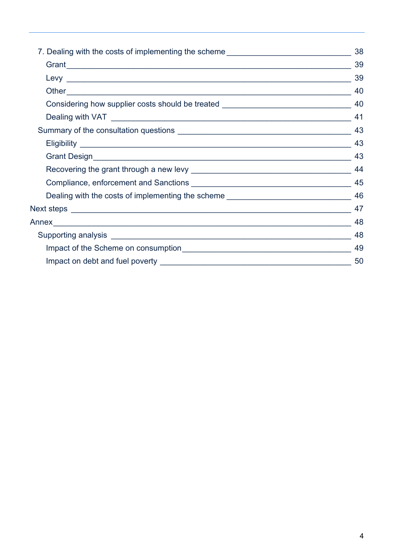| 7. Dealing with the costs of implementing the scheme____________________________     | 38 |
|--------------------------------------------------------------------------------------|----|
|                                                                                      | 39 |
|                                                                                      | 39 |
|                                                                                      | 40 |
| Considering how supplier costs should be treated ________________________________ 40 |    |
|                                                                                      |    |
|                                                                                      |    |
|                                                                                      |    |
|                                                                                      | 43 |
|                                                                                      |    |
|                                                                                      |    |
| Dealing with the costs of implementing the scheme ______________________________     | 46 |
|                                                                                      |    |
|                                                                                      | 48 |
|                                                                                      | 48 |
|                                                                                      | 49 |
|                                                                                      | 50 |
|                                                                                      |    |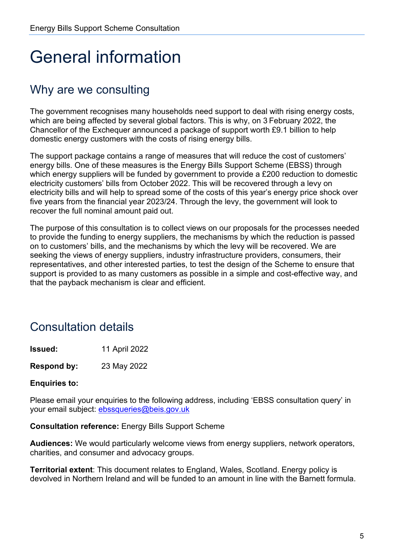## <span id="page-4-0"></span>General information

## <span id="page-4-1"></span>Why are we consulting

The government recognises many households need support to deal with rising energy costs, which are being affected by several global factors. This is why, on 3 February 2022, the Chancellor of the Exchequer announced a package of support worth £9.1 billion to help domestic energy customers with the costs of rising energy bills.

The support package contains a range of measures that will reduce the cost of customers' energy bills. One of these measures is the Energy Bills Support Scheme (EBSS) through which energy suppliers will be funded by government to provide a £200 reduction to domestic electricity customers' bills from October 2022. This will be recovered through a levy on electricity bills and will help to spread some of the costs of this year's energy price shock over five years from the financial year 2023/24. Through the levy, the government will look to recover the full nominal amount paid out.

The purpose of this consultation is to collect views on our proposals for the processes needed to provide the funding to energy suppliers, the mechanisms by which the reduction is passed on to customers' bills, and the mechanisms by which the levy will be recovered. We are seeking the views of energy suppliers, industry infrastructure providers, consumers, their representatives, and other interested parties, to test the design of the Scheme to ensure that support is provided to as many customers as possible in a simple and cost-effective way, and that the payback mechanism is clear and efficient.

## <span id="page-4-2"></span>Consultation details

**Issued:** 11 April 2022

**Respond by:** 23 May 2022

#### **Enquiries to:**

Please email your enquiries to the following address, including 'EBSS consultation query' in your email subject: [ebssqueries@beis.gov.uk](mailto:ebssqueries@beis.gov.uk) 

#### **Consultation reference:** Energy Bills Support Scheme

**Audiences:** We would particularly welcome views from energy suppliers, network operators, charities, and consumer and advocacy groups.

**Territorial extent**: This document relates to England, Wales, Scotland. Energy policy is devolved in Northern Ireland and will be funded to an amount in line with the Barnett formula.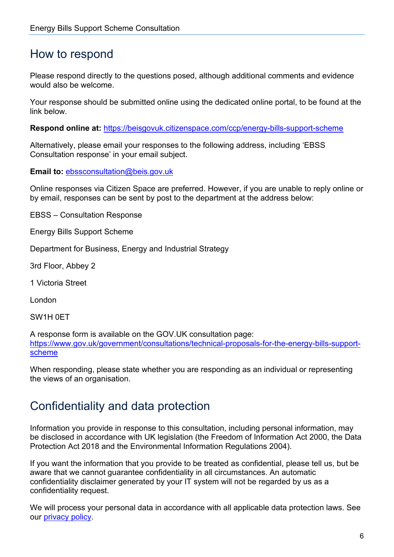### <span id="page-5-0"></span>How to respond

Please respond directly to the questions posed, although additional comments and evidence would also be welcome.

Your response should be submitted online using the dedicated online portal, to be found at the link below.

**Respond online at:** <https://beisgovuk.citizenspace.com/ccp/energy-bills-support-scheme>

Alternatively, please email your responses to the following address, including 'EBSS Consultation response' in your email subject.

**Email to:** [ebssconsultation@beis.gov.uk](mailto:ebssconsultation@beis.gov.uk)

Online responses via Citizen Space are preferred. However, if you are unable to reply online or by email, responses can be sent by post to the department at the address below:

EBSS – Consultation Response

Energy Bills Support Scheme

Department for Business, Energy and Industrial Strategy

3rd Floor, Abbey 2

1 Victoria Street

London

SW1H 0ET

A response form is available on the GOV.UK consultation page: [https://www.gov.uk/government/consultations/technical-proposals-for-the-energy-bills-support](https://eur02.safelinks.protection.outlook.com/?url=https%3A%2F%2Fwww.gov.uk%2Fgovernment%2Fconsultations%2Fproposals-for-the-energy-bills-support-scheme&data=04%7C01%7Cshann.sobun%40beis.gov.uk%7Cf1b80dc6142c4965406908da1978de0d%7Ccbac700502c143ebb497e6492d1b2dd8%7C0%7C0%7C637850304265722293%7CUnknown%7CTWFpbGZsb3d8eyJWIjoiMC4wLjAwMDAiLCJQIjoiV2luMzIiLCJBTiI6Ik1haWwiLCJXVCI6Mn0%3D%7C3000&sdata=GhE1Rb%2FUxhdDs5ZMmBwKfsbPBBFdroMhX5%2BOmSKmY38%3D&reserved=0)[scheme](https://eur02.safelinks.protection.outlook.com/?url=https%3A%2F%2Fwww.gov.uk%2Fgovernment%2Fconsultations%2Fproposals-for-the-energy-bills-support-scheme&data=04%7C01%7Cshann.sobun%40beis.gov.uk%7Cf1b80dc6142c4965406908da1978de0d%7Ccbac700502c143ebb497e6492d1b2dd8%7C0%7C0%7C637850304265722293%7CUnknown%7CTWFpbGZsb3d8eyJWIjoiMC4wLjAwMDAiLCJQIjoiV2luMzIiLCJBTiI6Ik1haWwiLCJXVCI6Mn0%3D%7C3000&sdata=GhE1Rb%2FUxhdDs5ZMmBwKfsbPBBFdroMhX5%2BOmSKmY38%3D&reserved=0)

When responding, please state whether you are responding as an individual or representing the views of an organisation.

### <span id="page-5-1"></span>Confidentiality and data protection

Information you provide in response to this consultation, including personal information, may be disclosed in accordance with UK legislation (the Freedom of Information Act 2000, the Data Protection Act 2018 and the Environmental Information Regulations 2004).

If you want the information that you provide to be treated as confidential, please tell us, but be aware that we cannot guarantee confidentiality in all circumstances. An automatic confidentiality disclaimer generated by your IT system will not be regarded by us as a confidentiality request.

We will process your personal data in accordance with all applicable data protection laws. See our [privacy policy.](https://www.gov.uk/government/organisations/department-for-business-energy-and-industrial-strategy/about/personal-information-charter)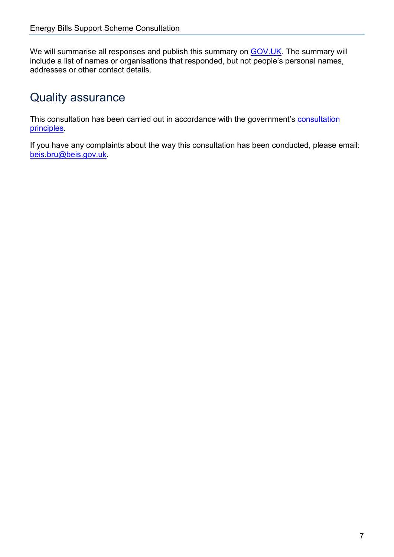We will summarise all responses and publish this summary on **GOV.UK**. The summary will include a list of names or organisations that responded, but not people's personal names, addresses or other contact details.

### <span id="page-6-0"></span>Quality assurance

This consultation has been carried out in accordance with the government's [consultation](https://www.gov.uk/government/publications/consultation-principles-guidance)  [principles.](https://www.gov.uk/government/publications/consultation-principles-guidance)

If you have any complaints about the way this consultation has been conducted, please email: [beis.bru@beis.gov.uk.](mailto:beis.bru@beis.gov.uk)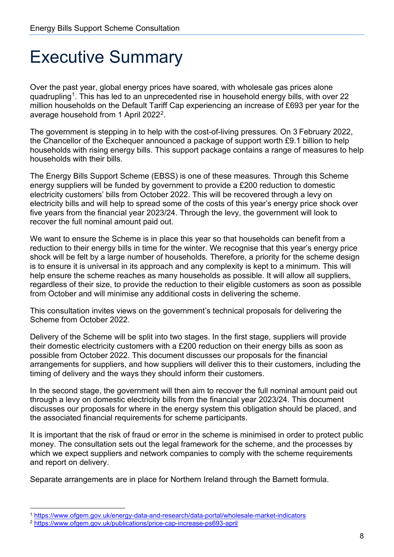## <span id="page-7-0"></span>Executive Summary

Over the past year, global energy prices have soared, with wholesale gas prices alone quadrupling<sup>[1](#page-7-1)</sup>. This has led to an unprecedented rise in household energy bills, with over 22 million households on the Default Tariff Cap experiencing an increase of £693 per year for the average household from 1 April [2](#page-7-2)022<sup>2</sup>.

The government is stepping in to help with the cost-of-living pressures. On 3 February 2022, the Chancellor of the Exchequer announced a package of support worth £9.1 billion to help households with rising energy bills. This support package contains a range of measures to help households with their bills.

The Energy Bills Support Scheme (EBSS) is one of these measures. Through this Scheme energy suppliers will be funded by government to provide a £200 reduction to domestic electricity customers' bills from October 2022. This will be recovered through a levy on electricity bills and will help to spread some of the costs of this year's energy price shock over five years from the financial year 2023/24. Through the levy, the government will look to recover the full nominal amount paid out.

We want to ensure the Scheme is in place this year so that households can benefit from a reduction to their energy bills in time for the winter. We recognise that this year's energy price shock will be felt by a large number of households. Therefore, a priority for the scheme design is to ensure it is universal in its approach and any complexity is kept to a minimum. This will help ensure the scheme reaches as many households as possible. It will allow all suppliers, regardless of their size, to provide the reduction to their eligible customers as soon as possible from October and will minimise any additional costs in delivering the scheme.

This consultation invites views on the government's technical proposals for delivering the Scheme from October 2022.

Delivery of the Scheme will be split into two stages. In the first stage, suppliers will provide their domestic electricity customers with a £200 reduction on their energy bills as soon as possible from October 2022. This document discusses our proposals for the financial arrangements for suppliers, and how suppliers will deliver this to their customers, including the timing of delivery and the ways they should inform their customers.

In the second stage, the government will then aim to recover the full nominal amount paid out through a levy on domestic electricity bills from the financial year 2023/24. This document discusses our proposals for where in the energy system this obligation should be placed, and the associated financial requirements for scheme participants.

It is important that the risk of fraud or error in the scheme is minimised in order to protect public money. The consultation sets out the legal framework for the scheme, and the processes by which we expect suppliers and network companies to comply with the scheme requirements and report on delivery.

Separate arrangements are in place for Northern Ireland through the Barnett formula.

<span id="page-7-1"></span><sup>1</sup> <https://www.ofgem.gov.uk/energy-data-and-research/data-portal/wholesale-market-indicators>

<span id="page-7-2"></span><sup>2</sup> <https://www.ofgem.gov.uk/publications/price-cap-increase-ps693-april>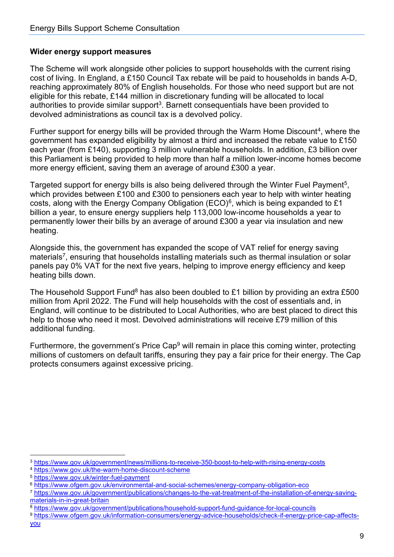#### **Wider energy support measures**

The Scheme will work alongside other policies to support households with the current rising cost of living. In England, a £150 Council Tax rebate will be paid to households in bands A-D, reaching approximately 80% of English households. For those who need support but are not eligible for this rebate, £144 million in discretionary funding will be allocated to local authorities to provide similar support<sup>[3](#page-8-0)</sup>. Barnett consequentials have been provided to devolved administrations as council tax is a devolved policy.

Further support for energy bills will be provided through the Warm Home Discount<sup>[4](#page-8-1)</sup>, where the government has expanded eligibility by almost a third and increased the rebate value to £150 each year (from £140), supporting 3 million vulnerable households. In addition, £3 billion over this Parliament is being provided to help more than half a million lower-income homes become more energy efficient, saving them an average of around £300 a year.

Targeted support for energy bills is also being delivered through the Winter Fuel Payment<sup>[5](#page-8-2)</sup>, which provides between £100 and £300 to pensioners each year to help with winter heating costs, along with the Energy Company Obligation (ECO)<sup>[6](#page-8-3)</sup>, which is being expanded to £1 billion a year, to ensure energy suppliers help 113,000 low-income households a year to permanently lower their bills by an average of around £300 a year via insulation and new heating.

Alongside this, the government has expanded the scope of VAT relief for energy saving materials<sup>[7](#page-8-4)</sup>, ensuring that households installing materials such as thermal insulation or solar panels pay 0% VAT for the next five years, helping to improve energy efficiency and keep heating bills down.

The Household Support Fund<sup>[8](#page-8-5)</sup> has also been doubled to £1 billion by providing an extra £500 million from April 2022. The Fund will help households with the cost of essentials and, in England, will continue to be distributed to Local Authorities, who are best placed to direct this help to those who need it most. Devolved administrations will receive £79 million of this additional funding.

Furthermore, the government's Price Cap<sup>[9](#page-8-6)</sup> will remain in place this coming winter, protecting millions of customers on default tariffs, ensuring they pay a fair price for their energy. The Cap protects consumers against excessive pricing.

<span id="page-8-0"></span>

<span id="page-8-1"></span>

<span id="page-8-2"></span>

<span id="page-8-4"></span><span id="page-8-3"></span>

<sup>&</sup>lt;sup>3</sup> https://www.gov.uk/government/news/millions-to-receive-350-boost-to-help-with-rising-energy-costs<br><sup>4</sup> https://www.gov.uk/the-warm-home-discount-scheme<br><sup>5</sup> https://www.gov.uk/winter-fuel-payment<br><sup>6</sup> https://www.ofgem.go materials-in-in-great-britain<br><sup>8</sup> https://www.gov.uk/government/publications/household-support-fund-guidance-for-local-councils<br><sup>9</sup> https://www.ofgem.gov.uk/information-consumers/energy-advice-households/check-if-energy-pr

<span id="page-8-6"></span><span id="page-8-5"></span>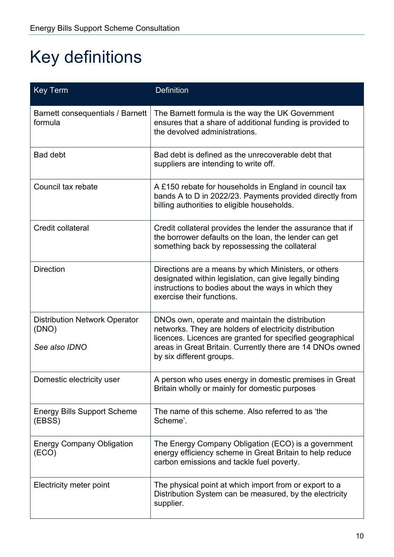## <span id="page-9-0"></span>Key definitions

| <b>Key Term</b>                                                | <b>Definition</b>                                                                                                                                                                                                                                               |
|----------------------------------------------------------------|-----------------------------------------------------------------------------------------------------------------------------------------------------------------------------------------------------------------------------------------------------------------|
| Barnett consequentials / Barnett<br>formula                    | The Barnett formula is the way the UK Government<br>ensures that a share of additional funding is provided to<br>the devolved administrations.                                                                                                                  |
| <b>Bad debt</b>                                                | Bad debt is defined as the unrecoverable debt that<br>suppliers are intending to write off.                                                                                                                                                                     |
| Council tax rebate                                             | A £150 rebate for households in England in council tax<br>bands A to D in 2022/23. Payments provided directly from<br>billing authorities to eligible households.                                                                                               |
| Credit collateral                                              | Credit collateral provides the lender the assurance that if<br>the borrower defaults on the loan, the lender can get<br>something back by repossessing the collateral                                                                                           |
| <b>Direction</b>                                               | Directions are a means by which Ministers, or others<br>designated within legislation, can give legally binding<br>instructions to bodies about the ways in which they<br>exercise their functions.                                                             |
| <b>Distribution Network Operator</b><br>(DNO)<br>See also IDNO | DNOs own, operate and maintain the distribution<br>networks. They are holders of electricity distribution<br>licences. Licences are granted for specified geographical<br>areas in Great Britain. Currently there are 14 DNOs owned<br>by six different groups. |
| Domestic electricity user                                      | A person who uses energy in domestic premises in Great<br>Britain wholly or mainly for domestic purposes                                                                                                                                                        |
| <b>Energy Bills Support Scheme</b><br>(EBSS)                   | The name of this scheme. Also referred to as 'the<br>Scheme'.                                                                                                                                                                                                   |
| <b>Energy Company Obligation</b><br>(ECO)                      | The Energy Company Obligation (ECO) is a government<br>energy efficiency scheme in Great Britain to help reduce<br>carbon emissions and tackle fuel poverty.                                                                                                    |
| Electricity meter point                                        | The physical point at which import from or export to a<br>Distribution System can be measured, by the electricity<br>supplier.                                                                                                                                  |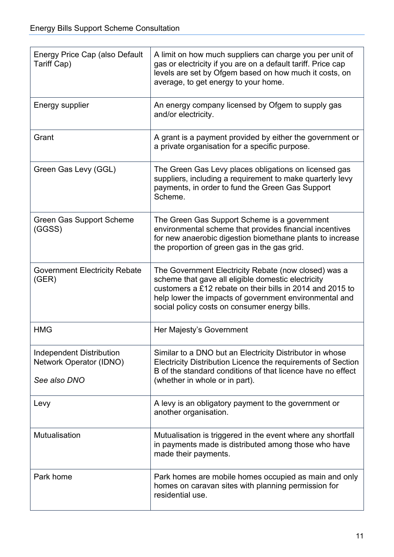| Energy Price Cap (also Default<br>Tariff Cap)                              | A limit on how much suppliers can charge you per unit of<br>gas or electricity if you are on a default tariff. Price cap<br>levels are set by Ofgem based on how much it costs, on<br>average, to get energy to your home.                                                         |
|----------------------------------------------------------------------------|------------------------------------------------------------------------------------------------------------------------------------------------------------------------------------------------------------------------------------------------------------------------------------|
| Energy supplier                                                            | An energy company licensed by Ofgem to supply gas<br>and/or electricity.                                                                                                                                                                                                           |
| Grant                                                                      | A grant is a payment provided by either the government or<br>a private organisation for a specific purpose.                                                                                                                                                                        |
| Green Gas Levy (GGL)                                                       | The Green Gas Levy places obligations on licensed gas<br>suppliers, including a requirement to make quarterly levy<br>payments, in order to fund the Green Gas Support<br>Scheme.                                                                                                  |
| <b>Green Gas Support Scheme</b><br>(GGSS)                                  | The Green Gas Support Scheme is a government<br>environmental scheme that provides financial incentives<br>for new anaerobic digestion biomethane plants to increase<br>the proportion of green gas in the gas grid.                                                               |
| <b>Government Electricity Rebate</b><br>(GER)                              | The Government Electricity Rebate (now closed) was a<br>scheme that gave all eligible domestic electricity<br>customers a £12 rebate on their bills in 2014 and 2015 to<br>help lower the impacts of government environmental and<br>social policy costs on consumer energy bills. |
| <b>HMG</b>                                                                 | Her Majesty's Government                                                                                                                                                                                                                                                           |
| <b>Independent Distribution</b><br>Network Operator (IDNO)<br>See also DNO | Similar to a DNO but an Electricity Distributor in whose<br>Electricity Distribution Licence the requirements of Section<br>B of the standard conditions of that licence have no effect<br>(whether in whole or in part).                                                          |
| Levy                                                                       | A levy is an obligatory payment to the government or<br>another organisation.                                                                                                                                                                                                      |
| Mutualisation                                                              | Mutualisation is triggered in the event where any shortfall<br>in payments made is distributed among those who have<br>made their payments.                                                                                                                                        |
| Park home                                                                  | Park homes are mobile homes occupied as main and only<br>homes on caravan sites with planning permission for<br>residential use.                                                                                                                                                   |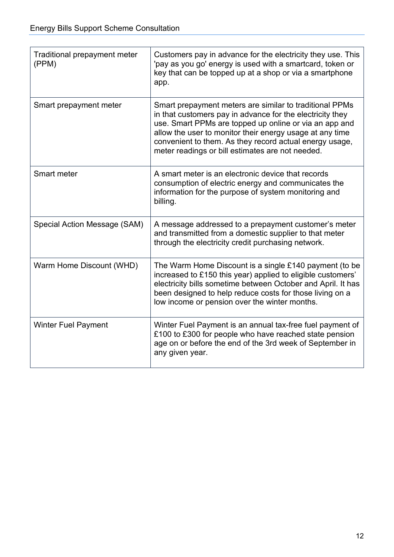| Traditional prepayment meter<br>(PPM) | Customers pay in advance for the electricity they use. This<br>'pay as you go' energy is used with a smartcard, token or<br>key that can be topped up at a shop or via a smartphone<br>app.                                                                                                                                                               |
|---------------------------------------|-----------------------------------------------------------------------------------------------------------------------------------------------------------------------------------------------------------------------------------------------------------------------------------------------------------------------------------------------------------|
| Smart prepayment meter                | Smart prepayment meters are similar to traditional PPMs<br>in that customers pay in advance for the electricity they<br>use. Smart PPMs are topped up online or via an app and<br>allow the user to monitor their energy usage at any time<br>convenient to them. As they record actual energy usage,<br>meter readings or bill estimates are not needed. |
| Smart meter                           | A smart meter is an electronic device that records<br>consumption of electric energy and communicates the<br>information for the purpose of system monitoring and<br>billing.                                                                                                                                                                             |
| Special Action Message (SAM)          | A message addressed to a prepayment customer's meter<br>and transmitted from a domestic supplier to that meter<br>through the electricity credit purchasing network.                                                                                                                                                                                      |
| Warm Home Discount (WHD)              | The Warm Home Discount is a single £140 payment (to be<br>increased to £150 this year) applied to eligible customers'<br>electricity bills sometime between October and April. It has<br>been designed to help reduce costs for those living on a<br>low income or pension over the winter months.                                                        |
| <b>Winter Fuel Payment</b>            | Winter Fuel Payment is an annual tax-free fuel payment of<br>£100 to £300 for people who have reached state pension<br>age on or before the end of the 3rd week of September in<br>any given year.                                                                                                                                                        |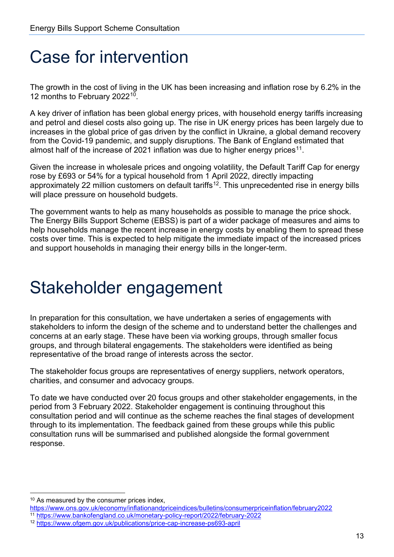## <span id="page-12-0"></span>Case for intervention

The growth in the cost of living in the UK has been increasing and inflation rose by 6.2% in the 12 months to February 2022[10.](#page-12-2)

A key driver of inflation has been global energy prices, with household energy tariffs increasing and petrol and diesel costs also going up. The rise in UK energy prices has been largely due to increases in the global price of gas driven by the conflict in Ukraine, a global demand recovery from the Covid-19 pandemic, and supply disruptions. The Bank of England estimated that almost half of the increase of 2021 inflation was due to higher energy prices<sup>11</sup>.

Given the increase in wholesale prices and ongoing volatility, the Default Tariff Cap for energy rose by £693 or 54% for a typical household from 1 April 2022, directly impacting approximately 22 million customers on default tariffs<sup>12</sup>. This unprecedented rise in energy bills will place pressure on household budgets.

The government wants to help as many households as possible to manage the price shock. The Energy Bills Support Scheme (EBSS) is part of a wider package of measures and aims to help households manage the recent increase in energy costs by enabling them to spread these costs over time. This is expected to help mitigate the immediate impact of the increased prices and support households in managing their energy bills in the longer-term.

## <span id="page-12-1"></span>Stakeholder engagement

In preparation for this consultation, we have undertaken a series of engagements with stakeholders to inform the design of the scheme and to understand better the challenges and concerns at an early stage. These have been via working groups, through smaller focus groups, and through bilateral engagements. The stakeholders were identified as being representative of the broad range of interests across the sector.

The stakeholder focus groups are representatives of energy suppliers, network operators, charities, and consumer and advocacy groups.

To date we have conducted over 20 focus groups and other stakeholder engagements, in the period from 3 February 2022. Stakeholder engagement is continuing throughout this consultation period and will continue as the scheme reaches the final stages of development through to its implementation. The feedback gained from these groups while this public consultation runs will be summarised and published alongside the formal government response.

<span id="page-12-2"></span><sup>&</sup>lt;sup>10</sup> As measured by the consumer prices index,

<https://www.ons.gov.uk/economy/inflationandpriceindices/bulletins/consumerpriceinflation/february2022>

<span id="page-12-3"></span><sup>11</sup> <https://www.bankofengland.co.uk/monetary-policy-report/2022/february-2022>

<span id="page-12-4"></span><sup>12</sup> <https://www.ofgem.gov.uk/publications/price-cap-increase-ps693-april>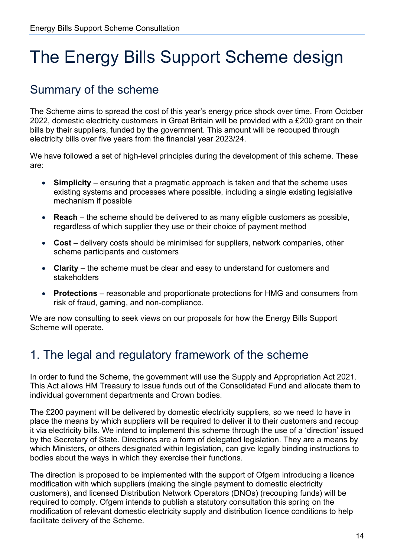## <span id="page-13-0"></span>The Energy Bills Support Scheme design

## <span id="page-13-1"></span>Summary of the scheme

The Scheme aims to spread the cost of this year's energy price shock over time. From October 2022, domestic electricity customers in Great Britain will be provided with a £200 grant on their bills by their suppliers, funded by the government. This amount will be recouped through electricity bills over five years from the financial year 2023/24.

We have followed a set of high-level principles during the development of this scheme. These are:

- **Simplicity** ensuring that a pragmatic approach is taken and that the scheme uses existing systems and processes where possible, including a single existing legislative mechanism if possible
- **Reach** the scheme should be delivered to as many eligible customers as possible, regardless of which supplier they use or their choice of payment method
- **Cost** delivery costs should be minimised for suppliers, network companies, other scheme participants and customers
- **Clarity** the scheme must be clear and easy to understand for customers and stakeholders
- **Protections** reasonable and proportionate protections for HMG and consumers from risk of fraud, gaming, and non-compliance.

We are now consulting to seek views on our proposals for how the Energy Bills Support Scheme will operate.

### <span id="page-13-2"></span>1. The legal and regulatory framework of the scheme

In order to fund the Scheme, the government will use the Supply and Appropriation Act 2021. This Act allows HM Treasury to issue funds out of the Consolidated Fund and allocate them to individual government departments and Crown bodies.

The £200 payment will be delivered by domestic electricity suppliers, so we need to have in place the means by which suppliers will be required to deliver it to their customers and recoup it via electricity bills. We intend to implement this scheme through the use of a 'direction' issued by the Secretary of State. Directions are a form of delegated legislation. They are a means by which Ministers, or others designated within legislation, can give legally binding instructions to bodies about the ways in which they exercise their functions.

The direction is proposed to be implemented with the support of Ofgem introducing a licence modification with which suppliers (making the single payment to domestic electricity customers), and licensed Distribution Network Operators (DNOs) (recouping funds) will be required to comply. Ofgem intends to publish a statutory consultation this spring on the modification of relevant domestic electricity supply and distribution licence conditions to help facilitate delivery of the Scheme.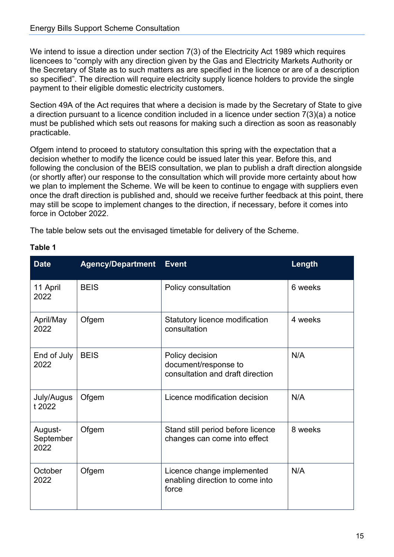We intend to issue a direction under section 7(3) of the Electricity Act 1989 which requires licencees to "comply with any direction given by the Gas and Electricity Markets Authority or the Secretary of State as to such matters as are specified in the licence or are of a description so specified". The direction will require electricity supply licence holders to provide the single payment to their eligible domestic electricity customers.

Section 49A of the Act requires that where a decision is made by the Secretary of State to give a direction pursuant to a licence condition included in a licence under section 7(3)(a) a notice must be published which sets out reasons for making such a direction as soon as reasonably practicable.

Ofgem intend to proceed to statutory consultation this spring with the expectation that a decision whether to modify the licence could be issued later this year. Before this, and following the conclusion of the BEIS consultation, we plan to publish a draft direction alongside (or shortly after) our response to the consultation which will provide more certainty about how we plan to implement the Scheme. We will be keen to continue to engage with suppliers even once the draft direction is published and, should we receive further feedback at this point, there may still be scope to implement changes to the direction, if necessary, before it comes into force in October 2022.

The table below sets out the envisaged timetable for delivery of the Scheme.

| <b>Date</b>                  | <b>Agency/Department</b> | <b>Event</b>                                                                | Length  |
|------------------------------|--------------------------|-----------------------------------------------------------------------------|---------|
| 11 April<br>2022             | <b>BEIS</b>              | Policy consultation                                                         | 6 weeks |
| April/May<br>2022            | Ofgem                    | Statutory licence modification<br>consultation                              | 4 weeks |
| End of July<br>2022          | <b>BEIS</b>              | Policy decision<br>document/response to<br>consultation and draft direction | N/A     |
| July/Augus<br>t 2022         | Ofgem                    | Licence modification decision                                               | N/A     |
| August-<br>September<br>2022 | Ofgem                    | Stand still period before licence<br>changes can come into effect           | 8 weeks |
| October<br>2022              | Ofgem                    | Licence change implemented<br>enabling direction to come into<br>force      | N/A     |

#### **Table 1**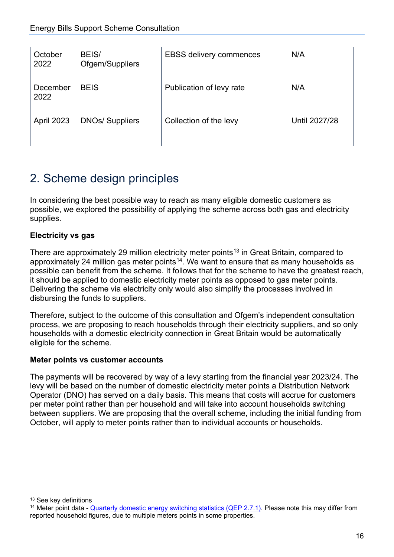| October<br>2022  | BEIS/<br>Ofgem/Suppliers | <b>EBSS delivery commences</b> | N/A           |
|------------------|--------------------------|--------------------------------|---------------|
| December<br>2022 | <b>BEIS</b>              | Publication of levy rate       | N/A           |
| April 2023       | <b>DNOs/ Suppliers</b>   | Collection of the levy         | Until 2027/28 |

## <span id="page-15-0"></span>2. Scheme design principles

In considering the best possible way to reach as many eligible domestic customers as possible, we explored the possibility of applying the scheme across both gas and electricity supplies.

#### **Electricity vs gas**

There are approximately 29 million electricity meter points $^{13}$  $^{13}$  $^{13}$  in Great Britain, compared to approximately 24 million gas meter points $14$ . We want to ensure that as many households as possible can benefit from the scheme. It follows that for the scheme to have the greatest reach, it should be applied to domestic electricity meter points as opposed to gas meter points. Delivering the scheme via electricity only would also simplify the processes involved in disbursing the funds to suppliers.

Therefore, subject to the outcome of this consultation and Ofgem's independent consultation process, we are proposing to reach households through their electricity suppliers, and so only households with a domestic electricity connection in Great Britain would be automatically eligible for the scheme.

#### **Meter points vs customer accounts**

The payments will be recovered by way of a levy starting from the financial year 2023/24. The levy will be based on the number of domestic electricity meter points a Distribution Network Operator (DNO) has served on a daily basis. This means that costs will accrue for customers per meter point rather than per household and will take into account households switching between suppliers. We are proposing that the overall scheme, including the initial funding from October, will apply to meter points rather than to individual accounts or households.

<span id="page-15-1"></span><sup>&</sup>lt;sup>13</sup> See key definitions

<span id="page-15-2"></span><sup>&</sup>lt;sup>14</sup> Meter point data - [Quarterly domestic energy switching statistics \(QEP 2.7.1\).](https://assets.publishing.service.gov.uk/government/uploads/system/uploads/attachment_data/file/1043398/table_271.xlsx) Please note this may differ from reported household figures, due to multiple meters points in some properties.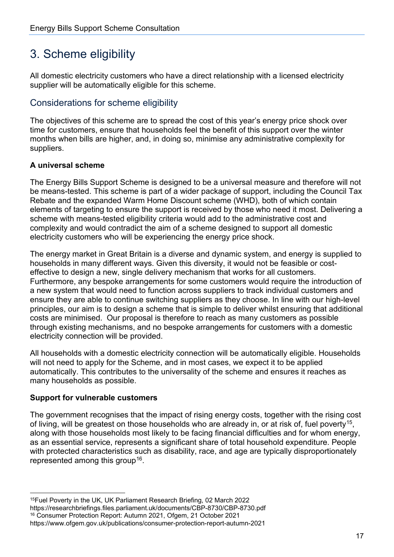## <span id="page-16-0"></span>3. Scheme eligibility

All domestic electricity customers who have a direct relationship with a licensed electricity supplier will be automatically eligible for this scheme.

#### <span id="page-16-1"></span>Considerations for scheme eligibility

The objectives of this scheme are to spread the cost of this year's energy price shock over time for customers, ensure that households feel the benefit of this support over the winter months when bills are higher, and, in doing so, minimise any administrative complexity for suppliers.

#### **A universal scheme**

The Energy Bills Support Scheme is designed to be a universal measure and therefore will not be means-tested. This scheme is part of a wider package of support, including the Council Tax Rebate and the expanded Warm Home Discount scheme (WHD), both of which contain elements of targeting to ensure the support is received by those who need it most. Delivering a scheme with means-tested eligibility criteria would add to the administrative cost and complexity and would contradict the aim of a scheme designed to support all domestic electricity customers who will be experiencing the energy price shock.

The energy market in Great Britain is a diverse and dynamic system, and energy is supplied to households in many different ways. Given this diversity, it would not be feasible or costeffective to design a new, single delivery mechanism that works for all customers. Furthermore, any bespoke arrangements for some customers would require the introduction of a new system that would need to function across suppliers to track individual customers and ensure they are able to continue switching suppliers as they choose. In line with our high-level principles, our aim is to design a scheme that is simple to deliver whilst ensuring that additional costs are minimised. Our proposal is therefore to reach as many customers as possible through existing mechanisms, and no bespoke arrangements for customers with a domestic electricity connection will be provided.

All households with a domestic electricity connection will be automatically eligible. Households will not need to apply for the Scheme, and in most cases, we expect it to be applied automatically. This contributes to the universality of the scheme and ensures it reaches as many households as possible.

#### **Support for vulnerable customers**

The government recognises that the impact of rising energy costs, together with the rising cost of living, will be greatest on those households who are already in, or at risk of, fuel poverty<sup>[15](#page-16-2)</sup>, along with those households most likely to be facing financial difficulties and for whom energy, as an essential service, represents a significant share of total household expenditure. People with protected characteristics such as disability, race, and age are typically disproportionately represented among this group<sup>16</sup>.

<span id="page-16-3"></span><span id="page-16-2"></span><sup>15</sup>Fuel Poverty in the UK, UK Parliament Research Briefing, 02 March 2022 https://researchbriefings.files.parliament.uk/documents/CBP-8730/CBP-8730.pdf <sup>16</sup> Consumer Protection Report: Autumn 2021, Ofgem, 21 October 2021 https://www.ofgem.gov.uk/publications/consumer-protection-report-autumn-2021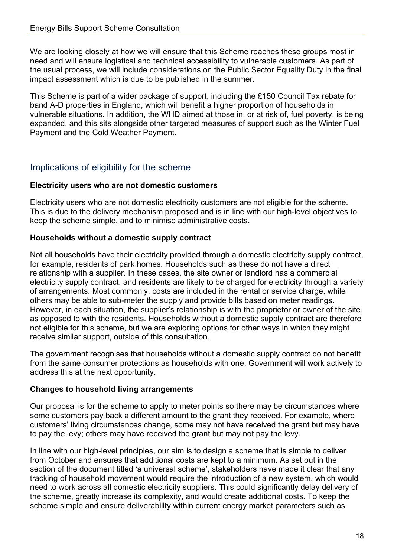We are looking closely at how we will ensure that this Scheme reaches these groups most in need and will ensure logistical and technical accessibility to vulnerable customers. As part of the usual process, we will include considerations on the Public Sector Equality Duty in the final impact assessment which is due to be published in the summer.

This Scheme is part of a wider package of support, including the £150 Council Tax rebate for band A-D properties in England, which will benefit a higher proportion of households in vulnerable situations. In addition, the WHD aimed at those in, or at risk of, fuel poverty, is being expanded, and this sits alongside other targeted measures of support such as the Winter Fuel Payment and the Cold Weather Payment.

#### <span id="page-17-0"></span>Implications of eligibility for the scheme

#### **Electricity users who are not domestic customers**

Electricity users who are not domestic electricity customers are not eligible for the scheme. This is due to the delivery mechanism proposed and is in line with our high-level objectives to keep the scheme simple, and to minimise administrative costs.

#### **Households without a domestic supply contract**

Not all households have their electricity provided through a domestic electricity supply contract, for example, residents of park homes. Households such as these do not have a direct relationship with a supplier. In these cases, the site owner or landlord has a commercial electricity supply contract, and residents are likely to be charged for electricity through a variety of arrangements. Most commonly, costs are included in the rental or service charge, while others may be able to sub-meter the supply and provide bills based on meter readings. However, in each situation, the supplier's relationship is with the proprietor or owner of the site, as opposed to with the residents. Households without a domestic supply contract are therefore not eligible for this scheme, but we are exploring options for other ways in which they might receive similar support, outside of this consultation.

The government recognises that households without a domestic supply contract do not benefit from the same consumer protections as households with one. Government will work actively to address this at the next opportunity.

#### **Changes to household living arrangements**

Our proposal is for the scheme to apply to meter points so there may be circumstances where some customers pay back a different amount to the grant they received. For example, where customers' living circumstances change, some may not have received the grant but may have to pay the levy; others may have received the grant but may not pay the levy.

In line with our high-level principles, our aim is to design a scheme that is simple to deliver from October and ensures that additional costs are kept to a minimum. As set out in the section of the document titled 'a universal scheme', stakeholders have made it clear that any tracking of household movement would require the introduction of a new system, which would need to work across all domestic electricity suppliers. This could significantly delay delivery of the scheme, greatly increase its complexity, and would create additional costs. To keep the scheme simple and ensure deliverability within current energy market parameters such as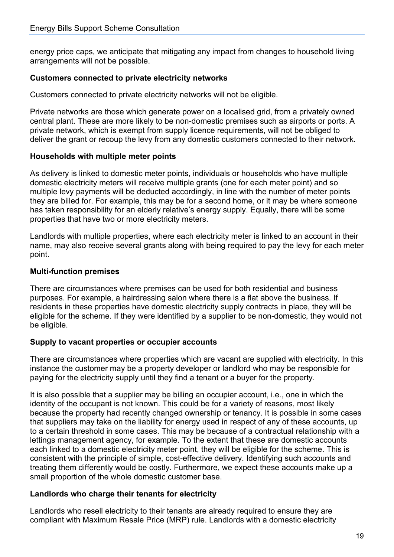energy price caps, we anticipate that mitigating any impact from changes to household living arrangements will not be possible.

#### **Customers connected to private electricity networks**

Customers connected to private electricity networks will not be eligible.

Private networks are those which generate power on a localised grid, from a privately owned central plant. These are more likely to be non-domestic premises such as airports or ports. A private network, which is exempt from supply licence requirements, will not be obliged to deliver the grant or recoup the levy from any domestic customers connected to their network.

#### **Households with multiple meter points**

As delivery is linked to domestic meter points, individuals or households who have multiple domestic electricity meters will receive multiple grants (one for each meter point) and so multiple levy payments will be deducted accordingly, in line with the number of meter points they are billed for. For example, this may be for a second home, or it may be where someone has taken responsibility for an elderly relative's energy supply. Equally, there will be some properties that have two or more electricity meters.

Landlords with multiple properties, where each electricity meter is linked to an account in their name, may also receive several grants along with being required to pay the levy for each meter point.

#### **Multi-function premises**

There are circumstances where premises can be used for both residential and business purposes. For example, a hairdressing salon where there is a flat above the business. If residents in these properties have domestic electricity supply contracts in place, they will be eligible for the scheme. If they were identified by a supplier to be non-domestic, they would not be eligible.

#### **Supply to vacant properties or occupier accounts**

There are circumstances where properties which are vacant are supplied with electricity. In this instance the customer may be a property developer or landlord who may be responsible for paying for the electricity supply until they find a tenant or a buyer for the property.

It is also possible that a supplier may be billing an occupier account, i.e., one in which the identity of the occupant is not known. This could be for a variety of reasons, most likely because the property had recently changed ownership or tenancy. It is possible in some cases that suppliers may take on the liability for energy used in respect of any of these accounts, up to a certain threshold in some cases. This may be because of a contractual relationship with a lettings management agency, for example. To the extent that these are domestic accounts each linked to a domestic electricity meter point, they will be eligible for the scheme. This is consistent with the principle of simple, cost-effective delivery. Identifying such accounts and treating them differently would be costly. Furthermore, we expect these accounts make up a small proportion of the whole domestic customer base.

#### **Landlords who charge their tenants for electricity**

Landlords who resell electricity to their tenants are already required to ensure they are compliant with Maximum Resale Price (MRP) rule. Landlords with a domestic electricity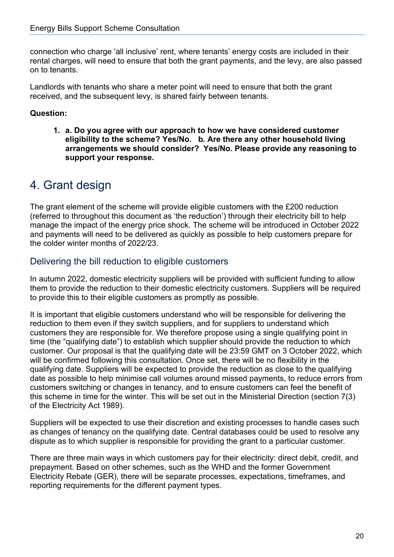connection who charge 'all inclusive' rent, where tenants' energy costs are included in their rental charges, will need to ensure that both the grant payments, and the levy, are also passed on to tenants.

Landlords with tenants who share a meter point will need to ensure that both the grant received, and the subsequent levy, is shared fairly between tenants.

#### **Question:**

**1. a. Do you agree with our approach to how we have considered customer eligibility to the scheme? Yes/No. b. Are there any other household living arrangements we should consider? Yes/No. Please provide any reasoning to support your response.**

### <span id="page-19-0"></span>4. Grant design

The grant element of the scheme will provide eligible customers with the £200 reduction (referred to throughout this document as 'the reduction') through their electricity bill to help manage the impact of the energy price shock. The scheme will be introduced in October 2022 and payments will need to be delivered as quickly as possible to help customers prepare for the colder winter months of 2022/23.

#### <span id="page-19-1"></span>Delivering the bill reduction to eligible customers

In autumn 2022, domestic electricity suppliers will be provided with sufficient funding to allow them to provide the reduction to their domestic electricity customers. Suppliers will be required to provide this to their eligible customers as promptly as possible.

It is important that eligible customers understand who will be responsible for delivering the reduction to them even if they switch suppliers, and for suppliers to understand which customers they are responsible for. We therefore propose using a single qualifying point in time (the "qualifying date") to establish which supplier should provide the reduction to which customer. Our proposal is that the qualifying date will be 23:59 GMT on 3 October 2022, which will be confirmed following this consultation. Once set, there will be no flexibility in the qualifying date. Suppliers will be expected to provide the reduction as close to the qualifying date as possible to help minimise call volumes around missed payments, to reduce errors from customers switching or changes in tenancy, and to ensure customers can feel the benefit of this scheme in time for the winter. This will be set out in the Ministerial Direction (section 7(3) of the Electricity Act 1989).

Suppliers will be expected to use their discretion and existing processes to handle cases such as changes of tenancy on the qualifying date. Central databases could be used to resolve any dispute as to which supplier is responsible for providing the grant to a particular customer.

There are three main ways in which customers pay for their electricity: direct debit, credit, and prepayment. Based on other schemes, such as the WHD and the former Government Electricity Rebate (GER), there will be separate processes, expectations, timeframes, and reporting requirements for the different payment types.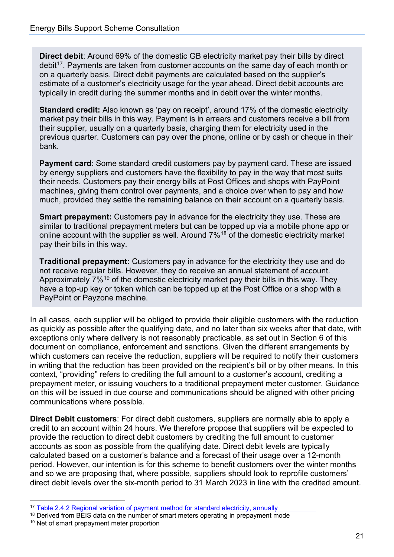**Direct debit**: Around 69% of the domestic GB electricity market pay their bills by direct debit<sup>17</sup>. Payments are taken from customer accounts on the same day of each month or on a quarterly basis. Direct debit payments are calculated based on the supplier's estimate of a customer's electricity usage for the year ahead. Direct debit accounts are typically in credit during the summer months and in debit over the winter months.

**Standard credit:** Also known as 'pay on receipt', around 17% of the domestic electricity market pay their bills in this way. Payment is in arrears and customers receive a bill from their supplier, usually on a quarterly basis, charging them for electricity used in the previous quarter. Customers can pay over the phone, online or by cash or cheque in their bank.

**Payment card**: Some standard credit customers pay by payment card. These are issued by energy suppliers and customers have the flexibility to pay in the way that most suits their needs. Customers pay their energy bills at Post Offices and shops with PayPoint machines, giving them control over payments, and a choice over when to pay and how much, provided they settle the remaining balance on their account on a quarterly basis.

**Smart prepayment:** Customers pay in advance for the electricity they use. These are similar to traditional prepayment meters but can be topped up via a mobile phone app or online account with the supplier as well. Around 7%<sup>18</sup> of the domestic electricity market pay their bills in this way.

**Traditional prepayment:** Customers pay in advance for the electricity they use and do not receive regular bills. However, they do receive an annual statement of account. Approximately 7%[19](#page-20-2) of the domestic electricity market pay their bills in this way. They have a top-up key or token which can be topped up at the Post Office or a shop with a PayPoint or Payzone machine.

In all cases, each supplier will be obliged to provide their eligible customers with the reduction as quickly as possible after the qualifying date, and no later than six weeks after that date, with exceptions only where delivery is not reasonably practicable, as set out in Section 6 of this document on compliance, enforcement and sanctions. Given the different arrangements by which customers can receive the reduction, suppliers will be required to notify their customers in writing that the reduction has been provided on the recipient's bill or by other means. In this context, "providing" refers to crediting the full amount to a customer's account, crediting a prepayment meter, or issuing vouchers to a traditional prepayment meter customer. Guidance on this will be issued in due course and communications should be aligned with other pricing communications where possible.

**Direct Debit customers**: For direct debit customers, suppliers are normally able to apply a credit to an account within 24 hours. We therefore propose that suppliers will be expected to provide the reduction to direct debit customers by crediting the full amount to customer accounts as soon as possible from the qualifying date. Direct debit levels are typically calculated based on a customer's balance and a forecast of their usage over a 12-month period. However, our intention is for this scheme to benefit customers over the winter months and so we are proposing that, where possible, suppliers should look to reprofile customers' direct debit levels over the six-month period to 31 March 2023 in line with the credited amount.

<span id="page-20-0"></span><sup>&</sup>lt;sup>17</sup> [Table 2.4.2 Regional variation of payment method for standard electricity, annually](https://assets.publishing.service.gov.uk/government/uploads/system/uploads/attachment_data/file/1043393/table_242.xlsx)

<span id="page-20-1"></span><sup>&</sup>lt;sup>18</sup> Derived from BEIS data on the number of smart meters operating in prepayment mode

<span id="page-20-2"></span><sup>&</sup>lt;sup>19</sup> Net of smart prepayment meter proportion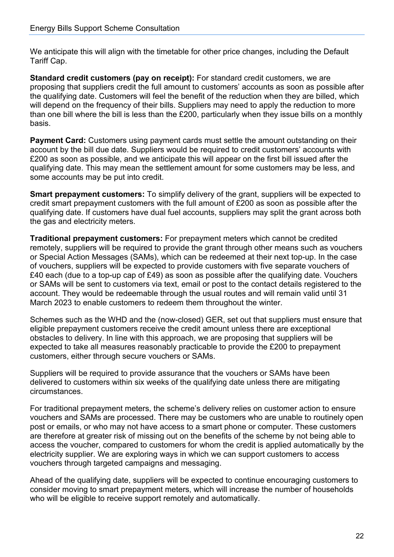We anticipate this will align with the timetable for other price changes, including the Default Tariff Cap.

**Standard credit customers (pay on receipt):** For standard credit customers, we are proposing that suppliers credit the full amount to customers' accounts as soon as possible after the qualifying date. Customers will feel the benefit of the reduction when they are billed, which will depend on the frequency of their bills. Suppliers may need to apply the reduction to more than one bill where the bill is less than the £200, particularly when they issue bills on a monthly basis.

**Payment Card:** Customers using payment cards must settle the amount outstanding on their account by the bill due date. Suppliers would be required to credit customers' accounts with £200 as soon as possible, and we anticipate this will appear on the first bill issued after the qualifying date. This may mean the settlement amount for some customers may be less, and some accounts may be put into credit.

**Smart prepayment customers:** To simplify delivery of the grant, suppliers will be expected to credit smart prepayment customers with the full amount of £200 as soon as possible after the qualifying date. If customers have dual fuel accounts, suppliers may split the grant across both the gas and electricity meters.

**Traditional prepayment customers:** For prepayment meters which cannot be credited remotely, suppliers will be required to provide the grant through other means such as vouchers or Special Action Messages (SAMs), which can be redeemed at their next top-up. In the case of vouchers, suppliers will be expected to provide customers with five separate vouchers of £40 each (due to a top-up cap of £49) as soon as possible after the qualifying date. Vouchers or SAMs will be sent to customers via text, email or post to the contact details registered to the account. They would be redeemable through the usual routes and will remain valid until 31 March 2023 to enable customers to redeem them throughout the winter.

Schemes such as the WHD and the (now-closed) GER, set out that suppliers must ensure that eligible prepayment customers receive the credit amount unless there are exceptional obstacles to delivery. In line with this approach, we are proposing that suppliers will be expected to take all measures reasonably practicable to provide the £200 to prepayment customers, either through secure vouchers or SAMs.

Suppliers will be required to provide assurance that the vouchers or SAMs have been delivered to customers within six weeks of the qualifying date unless there are mitigating circumstances.

For traditional prepayment meters, the scheme's delivery relies on customer action to ensure vouchers and SAMs are processed. There may be customers who are unable to routinely open post or emails, or who may not have access to a smart phone or computer. These customers are therefore at greater risk of missing out on the benefits of the scheme by not being able to access the voucher, compared to customers for whom the credit is applied automatically by the electricity supplier. We are exploring ways in which we can support customers to access vouchers through targeted campaigns and messaging.

Ahead of the qualifying date, suppliers will be expected to continue encouraging customers to consider moving to smart prepayment meters, which will increase the number of households who will be eligible to receive support remotely and automatically.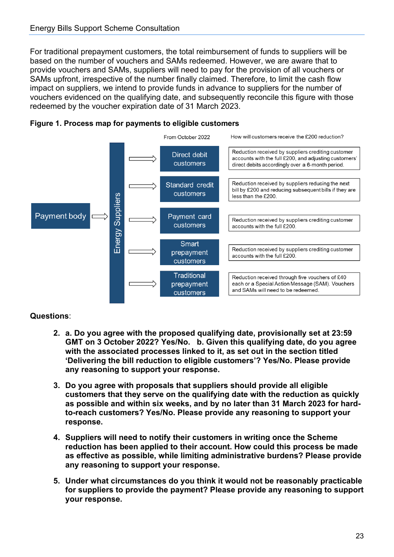For traditional prepayment customers, the total reimbursement of funds to suppliers will be based on the number of vouchers and SAMs redeemed. However, we are aware that to provide vouchers and SAMs, suppliers will need to pay for the provision of all vouchers or SAMs upfront, irrespective of the number finally claimed. Therefore, to limit the cash flow impact on suppliers, we intend to provide funds in advance to suppliers for the number of vouchers evidenced on the qualifying date, and subsequently reconcile this figure with those redeemed by the voucher expiration date of 31 March 2023.





**Questions**:

- **2. a. Do you agree with the proposed qualifying date, provisionally set at 23:59 GMT on 3 October 2022? Yes/No. b. Given this qualifying date, do you agree with the associated processes linked to it, as set out in the section titled 'Delivering the bill reduction to eligible customers'? Yes/No. Please provide any reasoning to support your response.**
- **3. Do you agree with proposals that suppliers should provide all eligible customers that they serve on the qualifying date with the reduction as quickly as possible and within six weeks, and by no later than 31 March 2023 for hardto-reach customers? Yes/No. Please provide any reasoning to support your response.**
- **4. Suppliers will need to notify their customers in writing once the Scheme reduction has been applied to their account. How could this process be made as effective as possible, while limiting administrative burdens? Please provide any reasoning to support your response.**
- **5. Under what circumstances do you think it would not be reasonably practicable for suppliers to provide the payment? Please provide any reasoning to support your response.**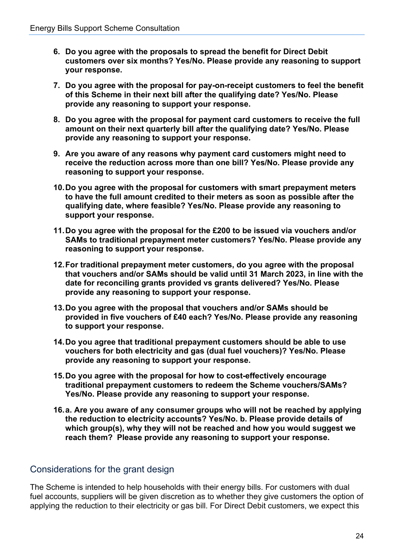- **6. Do you agree with the proposals to spread the benefit for Direct Debit customers over six months? Yes/No. Please provide any reasoning to support your response.**
- **7. Do you agree with the proposal for pay-on-receipt customers to feel the benefit of this Scheme in their next bill after the qualifying date? Yes/No. Please provide any reasoning to support your response.**
- **8. Do you agree with the proposal for payment card customers to receive the full amount on their next quarterly bill after the qualifying date? Yes/No. Please provide any reasoning to support your response.**
- **9. Are you aware of any reasons why payment card customers might need to receive the reduction across more than one bill? Yes/No. Please provide any reasoning to support your response.**
- **10.Do you agree with the proposal for customers with smart prepayment meters to have the full amount credited to their meters as soon as possible after the qualifying date, where feasible? Yes/No. Please provide any reasoning to support your response.**
- **11.Do you agree with the proposal for the £200 to be issued via vouchers and/or SAMs to traditional prepayment meter customers? Yes/No. Please provide any reasoning to support your response.**
- **12.For traditional prepayment meter customers, do you agree with the proposal that vouchers and/or SAMs should be valid until 31 March 2023, in line with the date for reconciling grants provided vs grants delivered? Yes/No. Please provide any reasoning to support your response.**
- **13.Do you agree with the proposal that vouchers and/or SAMs should be provided in five vouchers of £40 each? Yes/No. Please provide any reasoning to support your response.**
- **14.Do you agree that traditional prepayment customers should be able to use vouchers for both electricity and gas (dual fuel vouchers)? Yes/No. Please provide any reasoning to support your response.**
- **15.Do you agree with the proposal for how to cost-effectively encourage traditional prepayment customers to redeem the Scheme vouchers/SAMs? Yes/No. Please provide any reasoning to support your response.**
- **16.a. Are you aware of any consumer groups who will not be reached by applying the reduction to electricity accounts? Yes/No. b. Please provide details of which group(s), why they will not be reached and how you would suggest we reach them? Please provide any reasoning to support your response.**

#### <span id="page-23-0"></span>Considerations for the grant design

The Scheme is intended to help households with their energy bills. For customers with dual fuel accounts, suppliers will be given discretion as to whether they give customers the option of applying the reduction to their electricity or gas bill. For Direct Debit customers, we expect this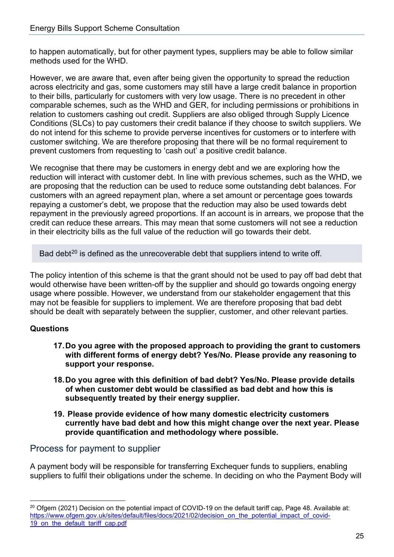to happen automatically, but for other payment types, suppliers may be able to follow similar methods used for the WHD.

However, we are aware that, even after being given the opportunity to spread the reduction across electricity and gas, some customers may still have a large credit balance in proportion to their bills, particularly for customers with very low usage. There is no precedent in other comparable schemes, such as the WHD and GER, for including permissions or prohibitions in relation to customers cashing out credit. Suppliers are also obliged through Supply Licence Conditions (SLCs) to pay customers their credit balance if they choose to switch suppliers. We do not intend for this scheme to provide perverse incentives for customers or to interfere with customer switching. We are therefore proposing that there will be no formal requirement to prevent customers from requesting to 'cash out' a positive credit balance.

We recognise that there may be customers in energy debt and we are exploring how the reduction will interact with customer debt. In line with previous schemes, such as the WHD, we are proposing that the reduction can be used to reduce some outstanding debt balances. For customers with an agreed repayment plan, where a set amount or percentage goes towards repaying a customer's debt, we propose that the reduction may also be used towards debt repayment in the previously agreed proportions. If an account is in arrears, we propose that the credit can reduce these arrears. This may mean that some customers will not see a reduction in their electricity bills as the full value of the reduction will go towards their debt.

Bad debt<sup>[20](#page-24-1)</sup> is defined as the unrecoverable debt that suppliers intend to write off.

The policy intention of this scheme is that the grant should not be used to pay off bad debt that would otherwise have been written-off by the supplier and should go towards ongoing energy usage where possible. However, we understand from our stakeholder engagement that this may not be feasible for suppliers to implement. We are therefore proposing that bad debt should be dealt with separately between the supplier, customer, and other relevant parties.

#### **Questions**

- **17.Do you agree with the proposed approach to providing the grant to customers with different forms of energy debt? Yes/No. Please provide any reasoning to support your response.**
- **18.Do you agree with this definition of bad debt? Yes/No. Please provide details of when customer debt would be classified as bad debt and how this is subsequently treated by their energy supplier.**
- **19. Please provide evidence of how many domestic electricity customers currently have bad debt and how this might change over the next year. Please provide quantification and methodology where possible.**

#### <span id="page-24-0"></span>Process for payment to supplier

A payment body will be responsible for transferring Exchequer funds to suppliers, enabling suppliers to fulfil their obligations under the scheme. In deciding on who the Payment Body will

<span id="page-24-1"></span><sup>&</sup>lt;sup>20</sup> Ofgem (2021) Decision on the potential impact of COVID-19 on the default tariff cap, Page 48. Available at: [https://www.ofgem.gov.uk/sites/default/files/docs/2021/02/decision\\_on\\_the\\_potential\\_impact\\_of\\_covid-](https://www.ofgem.gov.uk/sites/default/files/docs/2021/02/decision_on_the_potential_impact_of_covid-19_on_the_default_tariff_cap.pdf)19 on the default tariff cap.pdf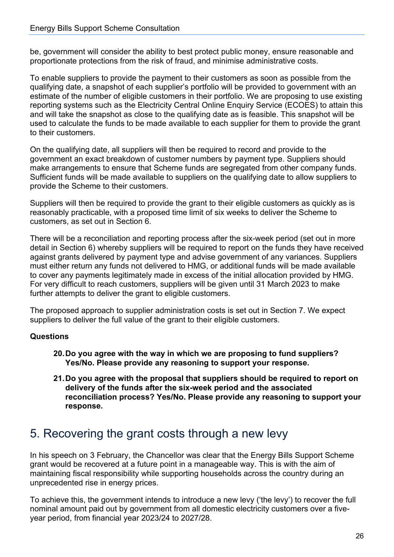be, government will consider the ability to best protect public money, ensure reasonable and proportionate protections from the risk of fraud, and minimise administrative costs.

To enable suppliers to provide the payment to their customers as soon as possible from the qualifying date, a snapshot of each supplier's portfolio will be provided to government with an estimate of the number of eligible customers in their portfolio. We are proposing to use existing reporting systems such as the Electricity Central Online Enquiry Service (ECOES) to attain this and will take the snapshot as close to the qualifying date as is feasible. This snapshot will be used to calculate the funds to be made available to each supplier for them to provide the grant to their customers.

On the qualifying date, all suppliers will then be required to record and provide to the government an exact breakdown of customer numbers by payment type. Suppliers should make arrangements to ensure that Scheme funds are segregated from other company funds. Sufficient funds will be made available to suppliers on the qualifying date to allow suppliers to provide the Scheme to their customers.

Suppliers will then be required to provide the grant to their eligible customers as quickly as is reasonably practicable, with a proposed time limit of six weeks to deliver the Scheme to customers, as set out in Section 6.

There will be a reconciliation and reporting process after the six-week period (set out in more detail in Section 6) whereby suppliers will be required to report on the funds they have received against grants delivered by payment type and advise government of any variances. Suppliers must either return any funds not delivered to HMG, or additional funds will be made available to cover any payments legitimately made in excess of the initial allocation provided by HMG. For very difficult to reach customers, suppliers will be given until 31 March 2023 to make further attempts to deliver the grant to eligible customers.

The proposed approach to supplier administration costs is set out in Section 7. We expect suppliers to deliver the full value of the grant to their eligible customers.

#### **Questions**

- **20.Do you agree with the way in which we are proposing to fund suppliers? Yes/No. Please provide any reasoning to support your response.**
- **21.Do you agree with the proposal that suppliers should be required to report on delivery of the funds after the six-week period and the associated reconciliation process? Yes/No. Please provide any reasoning to support your response.**

### <span id="page-25-0"></span>5. Recovering the grant costs through a new levy

In his speech on 3 February, the Chancellor was clear that the Energy Bills Support Scheme grant would be recovered at a future point in a manageable way. This is with the aim of maintaining fiscal responsibility while supporting households across the country during an unprecedented rise in energy prices.

To achieve this, the government intends to introduce a new levy ('the levy') to recover the full nominal amount paid out by government from all domestic electricity customers over a fiveyear period, from financial year 2023/24 to 2027/28.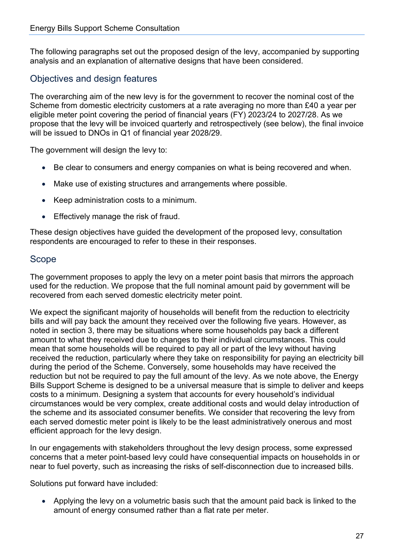The following paragraphs set out the proposed design of the levy, accompanied by supporting analysis and an explanation of alternative designs that have been considered.

#### <span id="page-26-0"></span>Objectives and design features

The overarching aim of the new levy is for the government to recover the nominal cost of the Scheme from domestic electricity customers at a rate averaging no more than £40 a year per eligible meter point covering the period of financial years (FY) 2023/24 to 2027/28. As we propose that the levy will be invoiced quarterly and retrospectively (see below), the final invoice will be issued to DNOs in Q1 of financial year 2028/29.

The government will design the levy to:

- Be clear to consumers and energy companies on what is being recovered and when.
- Make use of existing structures and arrangements where possible.
- Keep administration costs to a minimum.
- Effectively manage the risk of fraud.

These design objectives have guided the development of the proposed levy, consultation respondents are encouraged to refer to these in their responses.

#### <span id="page-26-1"></span>Scope

The government proposes to apply the levy on a meter point basis that mirrors the approach used for the reduction. We propose that the full nominal amount paid by government will be recovered from each served domestic electricity meter point.

We expect the significant majority of households will benefit from the reduction to electricity bills and will pay back the amount they received over the following five years. However, as noted in section 3, there may be situations where some households pay back a different amount to what they received due to changes to their individual circumstances. This could mean that some households will be required to pay all or part of the levy without having received the reduction, particularly where they take on responsibility for paying an electricity bill during the period of the Scheme. Conversely, some households may have received the reduction but not be required to pay the full amount of the levy. As we note above, the Energy Bills Support Scheme is designed to be a universal measure that is simple to deliver and keeps costs to a minimum. Designing a system that accounts for every household's individual circumstances would be very complex, create additional costs and would delay introduction of the scheme and its associated consumer benefits. We consider that recovering the levy from each served domestic meter point is likely to be the least administratively onerous and most efficient approach for the levy design.

In our engagements with stakeholders throughout the levy design process, some expressed concerns that a meter point-based levy could have consequential impacts on households in or near to fuel poverty, such as increasing the risks of self-disconnection due to increased bills.

Solutions put forward have included:

• Applying the levy on a volumetric basis such that the amount paid back is linked to the amount of energy consumed rather than a flat rate per meter.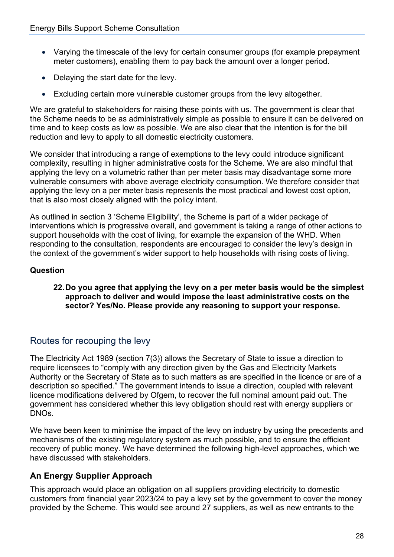- Varying the timescale of the levy for certain consumer groups (for example prepayment meter customers), enabling them to pay back the amount over a longer period.
- Delaying the start date for the levy.
- Excluding certain more vulnerable customer groups from the levy altogether.

We are grateful to stakeholders for raising these points with us. The government is clear that the Scheme needs to be as administratively simple as possible to ensure it can be delivered on time and to keep costs as low as possible. We are also clear that the intention is for the bill reduction and levy to apply to all domestic electricity customers.

We consider that introducing a range of exemptions to the levy could introduce significant complexity, resulting in higher administrative costs for the Scheme. We are also mindful that applying the levy on a volumetric rather than per meter basis may disadvantage some more vulnerable consumers with above average electricity consumption. We therefore consider that applying the levy on a per meter basis represents the most practical and lowest cost option, that is also most closely aligned with the policy intent.

As outlined in section 3 'Scheme Eligibility', the Scheme is part of a wider package of interventions which is progressive overall, and government is taking a range of other actions to support households with the cost of living, for example the expansion of the WHD. When responding to the consultation, respondents are encouraged to consider the levy's design in the context of the government's wider support to help households with rising costs of living.

#### **Question**

#### **22.Do you agree that applying the levy on a per meter basis would be the simplest approach to deliver and would impose the least administrative costs on the sector? Yes/No. Please provide any reasoning to support your response.**

#### <span id="page-27-0"></span>Routes for recouping the levy

The Electricity Act 1989 (section 7(3)) allows the Secretary of State to issue a direction to require licensees to "comply with any direction given by the Gas and Electricity Markets Authority or the Secretary of State as to such matters as are specified in the licence or are of a description so specified." The government intends to issue a direction, coupled with relevant licence modifications delivered by Ofgem, to recover the full nominal amount paid out. The government has considered whether this levy obligation should rest with energy suppliers or DNOs.

We have been keen to minimise the impact of the levy on industry by using the precedents and mechanisms of the existing regulatory system as much possible, and to ensure the efficient recovery of public money. We have determined the following high-level approaches, which we have discussed with stakeholders.

#### **An Energy Supplier Approach**

This approach would place an obligation on all suppliers providing electricity to domestic customers from financial year 2023/24 to pay a levy set by the government to cover the money provided by the Scheme. This would see around 27 suppliers, as well as new entrants to the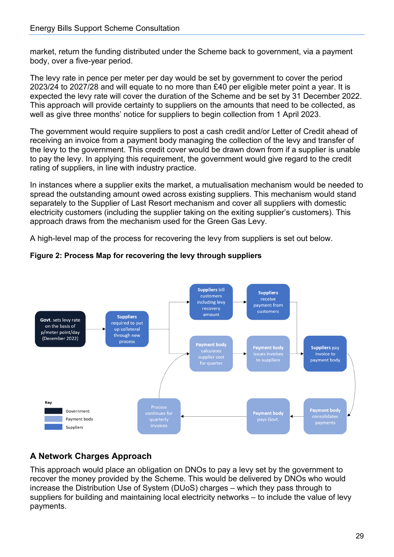market, return the funding distributed under the Scheme back to government, via a payment body, over a five-year period.

The levy rate in pence per meter per day would be set by government to cover the period 2023/24 to 2027/28 and will equate to no more than £40 per eligible meter point a year. It is expected the levy rate will cover the duration of the Scheme and be set by 31 December 2022. This approach will provide certainty to suppliers on the amounts that need to be collected, as well as give three months' notice for suppliers to begin collection from 1 April 2023.

The government would require suppliers to post a cash credit and/or Letter of Credit ahead of receiving an invoice from a payment body managing the collection of the levy and transfer of the levy to the government. This credit cover would be drawn down from if a supplier is unable to pay the levy. In applying this requirement, the government would give regard to the credit rating of suppliers, in line with industry practice.

In instances where a supplier exits the market, a mutualisation mechanism would be needed to spread the outstanding amount owed across existing suppliers. This mechanism would stand separately to the Supplier of Last Resort mechanism and cover all suppliers with domestic electricity customers (including the supplier taking on the exiting supplier's customers). This approach draws from the mechanism used for the Green Gas Levy.

A high-level map of the process for recovering the levy from suppliers is set out below.



#### **Figure 2: Process Map for recovering the levy through suppliers**

#### **A Network Charges Approach**

This approach would place an obligation on DNOs to pay a levy set by the government to recover the money provided by the Scheme. This would be delivered by DNOs who would increase the Distribution Use of System (DUoS) charges – which they pass through to suppliers for building and maintaining local electricity networks – to include the value of levy payments.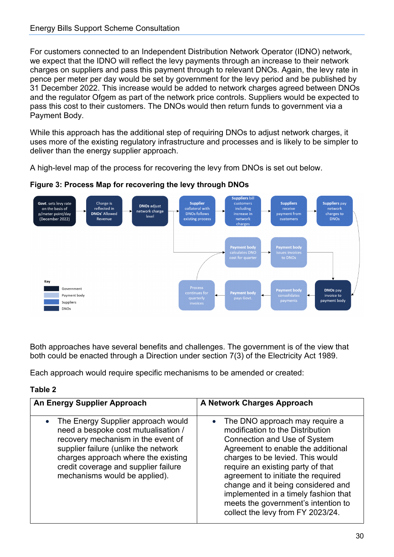For customers connected to an Independent Distribution Network Operator (IDNO) network, we expect that the IDNO will reflect the levy payments through an increase to their network charges on suppliers and pass this payment through to relevant DNOs. Again, the levy rate in pence per meter per day would be set by government for the levy period and be published by 31 December 2022. This increase would be added to network charges agreed between DNOs and the regulator Ofgem as part of the network price controls. Suppliers would be expected to pass this cost to their customers. The DNOs would then return funds to government via a Payment Body.

While this approach has the additional step of requiring DNOs to adjust network charges, it uses more of the existing regulatory infrastructure and processes and is likely to be simpler to deliver than the energy supplier approach.

A high-level map of the process for recovering the levy from DNOs is set out below.



#### **Figure 3: Process Map for recovering the levy through DNOs**

Both approaches have several benefits and challenges. The government is of the view that both could be enacted through a Direction under section 7(3) of the Electricity Act 1989.

Each approach would require specific mechanisms to be amended or created:

#### **Table 2**

| An Energy Supplier Approach                                                                                                                                                                                                                                                          | <b>A Network Charges Approach</b>                                                                                                                                                                                                                                                                                                                                                                                          |
|--------------------------------------------------------------------------------------------------------------------------------------------------------------------------------------------------------------------------------------------------------------------------------------|----------------------------------------------------------------------------------------------------------------------------------------------------------------------------------------------------------------------------------------------------------------------------------------------------------------------------------------------------------------------------------------------------------------------------|
| The Energy Supplier approach would<br>$\bullet$<br>need a bespoke cost mutualisation /<br>recovery mechanism in the event of<br>supplier failure (unlike the network<br>charges approach where the existing<br>credit coverage and supplier failure<br>mechanisms would be applied). | • The DNO approach may require a<br>modification to the Distribution<br><b>Connection and Use of System</b><br>Agreement to enable the additional<br>charges to be levied. This would<br>require an existing party of that<br>agreement to initiate the required<br>change and it being considered and<br>implemented in a timely fashion that<br>meets the government's intention to<br>collect the levy from FY 2023/24. |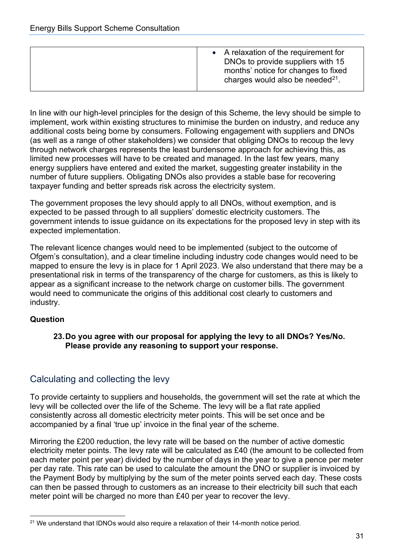|  | • A relaxation of the requirement for<br>DNOs to provide suppliers with 15<br>months' notice for changes to fixed<br>charges would also be needed $21$ . |
|--|----------------------------------------------------------------------------------------------------------------------------------------------------------|
|--|----------------------------------------------------------------------------------------------------------------------------------------------------------|

In line with our high-level principles for the design of this Scheme, the levy should be simple to implement, work within existing structures to minimise the burden on industry, and reduce any additional costs being borne by consumers. Following engagement with suppliers and DNOs (as well as a range of other stakeholders) we consider that obliging DNOs to recoup the levy through network charges represents the least burdensome approach for achieving this, as limited new processes will have to be created and managed. In the last few years, many energy suppliers have entered and exited the market, suggesting greater instability in the number of future suppliers. Obligating DNOs also provides a stable base for recovering taxpayer funding and better spreads risk across the electricity system.

The government proposes the levy should apply to all DNOs, without exemption, and is expected to be passed through to all suppliers' domestic electricity customers. The government intends to issue guidance on its expectations for the proposed levy in step with its expected implementation.

The relevant licence changes would need to be implemented (subject to the outcome of Ofgem's consultation), and a clear timeline including industry code changes would need to be mapped to ensure the levy is in place for 1 April 2023. We also understand that there may be a presentational risk in terms of the transparency of the charge for customers, as this is likely to appear as a significant increase to the network charge on customer bills. The government would need to communicate the origins of this additional cost clearly to customers and industry.

#### **Question**

**23.Do you agree with our proposal for applying the levy to all DNOs? Yes/No. Please provide any reasoning to support your response.** 

#### <span id="page-30-0"></span>Calculating and collecting the levy

To provide certainty to suppliers and households, the government will set the rate at which the levy will be collected over the life of the Scheme. The levy will be a flat rate applied consistently across all domestic electricity meter points. This will be set once and be accompanied by a final 'true up' invoice in the final year of the scheme.

Mirroring the £200 reduction, the levy rate will be based on the number of active domestic electricity meter points. The levy rate will be calculated as £40 (the amount to be collected from each meter point per year) divided by the number of days in the year to give a pence per meter per day rate. This rate can be used to calculate the amount the DNO or supplier is invoiced by the Payment Body by multiplying by the sum of the meter points served each day. These costs can then be passed through to customers as an increase to their electricity bill such that each meter point will be charged no more than £40 per year to recover the levy.

<span id="page-30-1"></span> $21$  We understand that IDNOs would also require a relaxation of their 14-month notice period.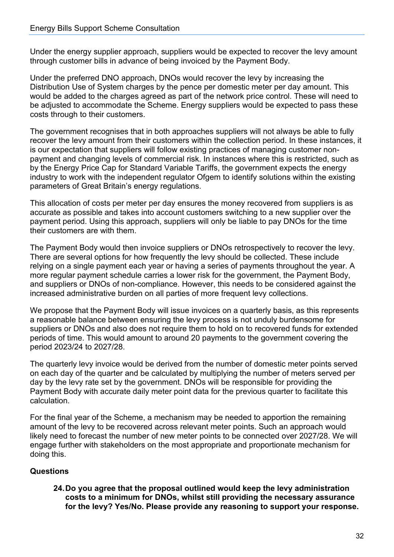Under the energy supplier approach, suppliers would be expected to recover the levy amount through customer bills in advance of being invoiced by the Payment Body.

Under the preferred DNO approach, DNOs would recover the levy by increasing the Distribution Use of System charges by the pence per domestic meter per day amount. This would be added to the charges agreed as part of the network price control. These will need to be adjusted to accommodate the Scheme. Energy suppliers would be expected to pass these costs through to their customers.

The government recognises that in both approaches suppliers will not always be able to fully recover the levy amount from their customers within the collection period. In these instances, it is our expectation that suppliers will follow existing practices of managing customer nonpayment and changing levels of commercial risk. In instances where this is restricted, such as by the Energy Price Cap for Standard Variable Tariffs, the government expects the energy industry to work with the independent regulator Ofgem to identify solutions within the existing parameters of Great Britain's energy regulations.

This allocation of costs per meter per day ensures the money recovered from suppliers is as accurate as possible and takes into account customers switching to a new supplier over the payment period. Using this approach, suppliers will only be liable to pay DNOs for the time their customers are with them.

The Payment Body would then invoice suppliers or DNOs retrospectively to recover the levy. There are several options for how frequently the levy should be collected. These include relying on a single payment each year or having a series of payments throughout the year. A more regular payment schedule carries a lower risk for the government, the Payment Body, and suppliers or DNOs of non-compliance. However, this needs to be considered against the increased administrative burden on all parties of more frequent levy collections.

We propose that the Payment Body will issue invoices on a quarterly basis, as this represents a reasonable balance between ensuring the levy process is not unduly burdensome for suppliers or DNOs and also does not require them to hold on to recovered funds for extended periods of time. This would amount to around 20 payments to the government covering the period 2023/24 to 2027/28.

The quarterly levy invoice would be derived from the number of domestic meter points served on each day of the quarter and be calculated by multiplying the number of meters served per day by the levy rate set by the government. DNOs will be responsible for providing the Payment Body with accurate daily meter point data for the previous quarter to facilitate this calculation.

For the final year of the Scheme, a mechanism may be needed to apportion the remaining amount of the levy to be recovered across relevant meter points. Such an approach would likely need to forecast the number of new meter points to be connected over 2027/28. We will engage further with stakeholders on the most appropriate and proportionate mechanism for doing this.

#### **Questions**

**24.Do you agree that the proposal outlined would keep the levy administration costs to a minimum for DNOs, whilst still providing the necessary assurance for the levy? Yes/No. Please provide any reasoning to support your response.**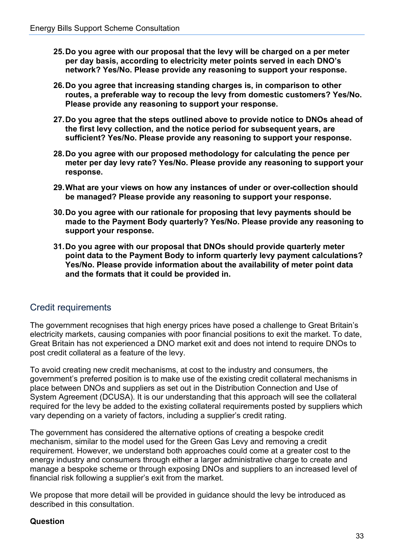- **25.Do you agree with our proposal that the levy will be charged on a per meter per day basis, according to electricity meter points served in each DNO's network? Yes/No. Please provide any reasoning to support your response.**
- **26.Do you agree that increasing standing charges is, in comparison to other routes, a preferable way to recoup the levy from domestic customers? Yes/No. Please provide any reasoning to support your response.**
- **27.Do you agree that the steps outlined above to provide notice to DNOs ahead of the first levy collection, and the notice period for subsequent years, are sufficient? Yes/No. Please provide any reasoning to support your response.**
- **28.Do you agree with our proposed methodology for calculating the pence per meter per day levy rate? Yes/No. Please provide any reasoning to support your response.**
- **29.What are your views on how any instances of under or over-collection should be managed? Please provide any reasoning to support your response.**
- **30.Do you agree with our rationale for proposing that levy payments should be made to the Payment Body quarterly? Yes/No. Please provide any reasoning to support your response.**
- **31.Do you agree with our proposal that DNOs should provide quarterly meter point data to the Payment Body to inform quarterly levy payment calculations? Yes/No. Please provide information about the availability of meter point data and the formats that it could be provided in.**

#### <span id="page-32-0"></span>Credit requirements

The government recognises that high energy prices have posed a challenge to Great Britain's electricity markets, causing companies with poor financial positions to exit the market. To date, Great Britain has not experienced a DNO market exit and does not intend to require DNOs to post credit collateral as a feature of the levy.

To avoid creating new credit mechanisms, at cost to the industry and consumers, the government's preferred position is to make use of the existing credit collateral mechanisms in place between DNOs and suppliers as set out in the Distribution Connection and Use of System Agreement (DCUSA). It is our understanding that this approach will see the collateral required for the levy be added to the existing collateral requirements posted by suppliers which vary depending on a variety of factors, including a supplier's credit rating.

The government has considered the alternative options of creating a bespoke credit mechanism, similar to the model used for the Green Gas Levy and removing a credit requirement. However, we understand both approaches could come at a greater cost to the energy industry and consumers through either a larger administrative charge to create and manage a bespoke scheme or through exposing DNOs and suppliers to an increased level of financial risk following a supplier's exit from the market.

We propose that more detail will be provided in guidance should the levy be introduced as described in this consultation.

#### **Question**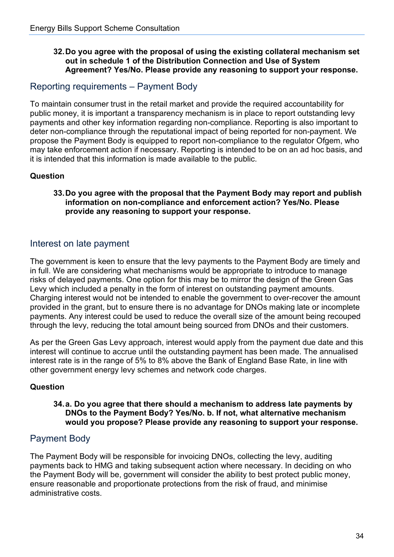#### **32.Do you agree with the proposal of using the existing collateral mechanism set out in schedule 1 of the Distribution Connection and Use of System Agreement? Yes/No. Please provide any reasoning to support your response.**

#### <span id="page-33-0"></span>Reporting requirements – Payment Body

To maintain consumer trust in the retail market and provide the required accountability for public money, it is important a transparency mechanism is in place to report outstanding levy payments and other key information regarding non-compliance. Reporting is also important to deter non-compliance through the reputational impact of being reported for non-payment. We propose the Payment Body is equipped to report non-compliance to the regulator Ofgem, who may take enforcement action if necessary. Reporting is intended to be on an ad hoc basis, and it is intended that this information is made available to the public.

#### **Question**

#### **33.Do you agree with the proposal that the Payment Body may report and publish information on non-compliance and enforcement action? Yes/No. Please provide any reasoning to support your response.**

#### <span id="page-33-1"></span>Interest on late payment

The government is keen to ensure that the levy payments to the Payment Body are timely and in full. We are considering what mechanisms would be appropriate to introduce to manage risks of delayed payments. One option for this may be to mirror the design of the Green Gas Levy which included a penalty in the form of interest on outstanding payment amounts. Charging interest would not be intended to enable the government to over-recover the amount provided in the grant, but to ensure there is no advantage for DNOs making late or incomplete payments. Any interest could be used to reduce the overall size of the amount being recouped through the levy, reducing the total amount being sourced from DNOs and their customers.

As per the Green Gas Levy approach, interest would apply from the payment due date and this interest will continue to accrue until the outstanding payment has been made. The annualised interest rate is in the range of 5% to 8% above the Bank of England Base Rate, in line with other government energy levy schemes and network code charges.

#### **Question**

#### **34.a. Do you agree that there should a mechanism to address late payments by DNOs to the Payment Body? Yes/No. b. If not, what alternative mechanism would you propose? Please provide any reasoning to support your response.**

#### <span id="page-33-2"></span>Payment Body

The Payment Body will be responsible for invoicing DNOs, collecting the levy, auditing payments back to HMG and taking subsequent action where necessary. In deciding on who the Payment Body will be, government will consider the ability to best protect public money, ensure reasonable and proportionate protections from the risk of fraud, and minimise administrative costs.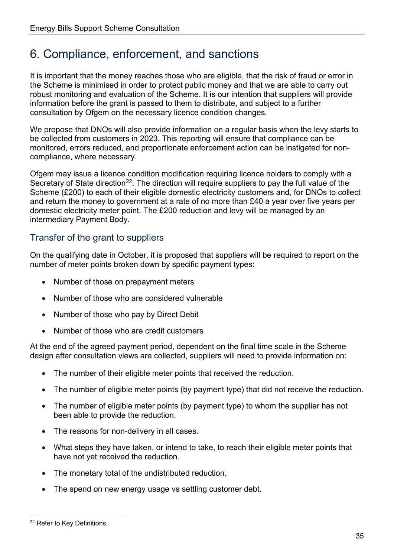### <span id="page-34-0"></span>6. Compliance, enforcement, and sanctions

It is important that the money reaches those who are eligible, that the risk of fraud or error in the Scheme is minimised in order to protect public money and that we are able to carry out robust monitoring and evaluation of the Scheme. It is our intention that suppliers will provide information before the grant is passed to them to distribute, and subject to a further consultation by Ofgem on the necessary licence condition changes.

We propose that DNOs will also provide information on a regular basis when the levy starts to be collected from customers in 2023. This reporting will ensure that compliance can be monitored, errors reduced, and proportionate enforcement action can be instigated for noncompliance, where necessary.

Ofgem may issue a licence condition modification requiring licence holders to comply with a Secretary of State direction<sup>22</sup>. The direction will require suppliers to pay the full value of the Scheme (£200) to each of their eligible domestic electricity customers and, for DNOs to collect and return the money to government at a rate of no more than £40 a year over five years per domestic electricity meter point. The £200 reduction and levy will be managed by an intermediary Payment Body.

#### <span id="page-34-1"></span>Transfer of the grant to suppliers

On the qualifying date in October, it is proposed that suppliers will be required to report on the number of meter points broken down by specific payment types:

- Number of those on prepayment meters
- Number of those who are considered vulnerable
- Number of those who pay by Direct Debit
- Number of those who are credit customers

At the end of the agreed payment period, dependent on the final time scale in the Scheme design after consultation views are collected, suppliers will need to provide information on:

- The number of their eligible meter points that received the reduction.
- The number of eligible meter points (by payment type) that did not receive the reduction.
- The number of eligible meter points (by payment type) to whom the supplier has not been able to provide the reduction.
- The reasons for non-delivery in all cases.
- What steps they have taken, or intend to take, to reach their eligible meter points that have not yet received the reduction.
- The monetary total of the undistributed reduction.
- The spend on new energy usage vs settling customer debt.

<span id="page-34-2"></span><sup>22</sup> Refer to Key Definitions.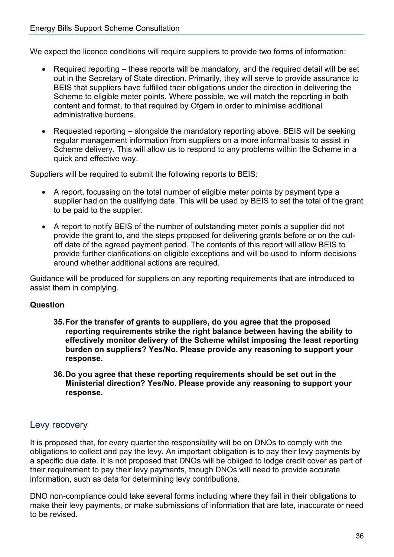We expect the licence conditions will require suppliers to provide two forms of information:

- Required reporting these reports will be mandatory, and the required detail will be set out in the Secretary of State direction. Primarily, they will serve to provide assurance to BEIS that suppliers have fulfilled their obligations under the direction in delivering the Scheme to eligible meter points. Where possible, we will match the reporting in both content and format, to that required by Ofgem in order to minimise additional administrative burdens.
- Requested reporting alongside the mandatory reporting above, BEIS will be seeking regular management information from suppliers on a more informal basis to assist in Scheme delivery. This will allow us to respond to any problems within the Scheme in a quick and effective way.

Suppliers will be required to submit the following reports to BEIS:

- A report, focussing on the total number of eligible meter points by payment type a supplier had on the qualifying date. This will be used by BEIS to set the total of the grant to be paid to the supplier.
- A report to notify BEIS of the number of outstanding meter points a supplier did not provide the grant to, and the steps proposed for delivering grants before or on the cutoff date of the agreed payment period. The contents of this report will allow BEIS to provide further clarifications on eligible exceptions and will be used to inform decisions around whether additional actions are required.

Guidance will be produced for suppliers on any reporting requirements that are introduced to assist them in complying.

#### **Question**

- **35.For the transfer of grants to suppliers, do you agree that the proposed reporting requirements strike the right balance between having the ability to effectively monitor delivery of the Scheme whilst imposing the least reporting burden on suppliers? Yes/No. Please provide any reasoning to support your response.**
- **36.Do you agree that these reporting requirements should be set out in the Ministerial direction? Yes/No. Please provide any reasoning to support your response.**

#### <span id="page-35-0"></span>Levy recovery

It is proposed that, for every quarter the responsibility will be on DNOs to comply with the obligations to collect and pay the levy. An important obligation is to pay their levy payments by a specific due date. It is not proposed that DNOs will be obliged to lodge credit cover as part of their requirement to pay their levy payments, though DNOs will need to provide accurate information, such as data for determining levy contributions.

DNO non-compliance could take several forms including where they fail in their obligations to make their levy payments, or make submissions of information that are late, inaccurate or need to be revised.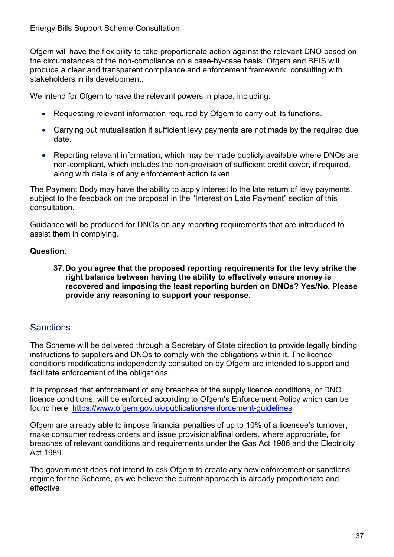Ofgem will have the flexibility to take proportionate action against the relevant DNO based on the circumstances of the non-compliance on a case-by-case basis. Ofgem and BEIS will produce a clear and transparent compliance and enforcement framework, consulting with stakeholders in its development.

We intend for Ofgem to have the relevant powers in place, including:

- Requesting relevant information required by Ofgem to carry out its functions.
- Carrying out mutualisation if sufficient levy payments are not made by the required due date.
- Reporting relevant information, which may be made publicly available where DNOs are non-compliant, which includes the non-provision of sufficient credit cover, if required, along with details of any enforcement action taken.

The Payment Body may have the ability to apply interest to the late return of levy payments, subject to the feedback on the proposal in the "Interest on Late Payment" section of this consultation.

Guidance will be produced for DNOs on any reporting requirements that are introduced to assist them in complying.

#### **Question**:

#### **37. Do you agree that the proposed reporting requirements for the levy strike the right balance between having the ability to effectively ensure money is recovered and imposing the least reporting burden on DNOs? Yes/No. Please provide any reasoning to support your response.**

#### <span id="page-36-0"></span>**Sanctions**

The Scheme will be delivered through a Secretary of State direction to provide legally binding instructions to suppliers and DNOs to comply with the obligations within it. The licence conditions modifications independently consulted on by Ofgem are intended to support and facilitate enforcement of the obligations.

It is proposed that enforcement of any breaches of the supply licence conditions, or DNO licence conditions, will be enforced according to Ofgem's Enforcement Policy which can be found here: <https://www.ofgem.gov.uk/publications/enforcement-guidelines>

Ofgem are already able to impose financial penalties of up to 10% of a licensee's turnover, make consumer redress orders and issue provisional/final orders, where appropriate, for breaches of relevant conditions and requirements under the Gas Act 1986 and the Electricity Act 1989.

The government does not intend to ask Ofgem to create any new enforcement or sanctions regime for the Scheme, as we believe the current approach is already proportionate and effective.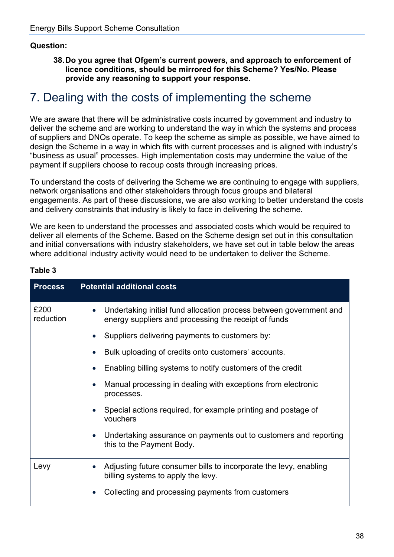#### **Question:**

**38.Do you agree that Ofgem's current powers, and approach to enforcement of licence conditions, should be mirrored for this Scheme? Yes/No. Please provide any reasoning to support your response.**

### <span id="page-37-0"></span>7. Dealing with the costs of implementing the scheme

We are aware that there will be administrative costs incurred by government and industry to deliver the scheme and are working to understand the way in which the systems and process of suppliers and DNOs operate. To keep the scheme as simple as possible, we have aimed to design the Scheme in a way in which fits with current processes and is aligned with industry's "business as usual" processes. High implementation costs may undermine the value of the payment if suppliers choose to recoup costs through increasing prices.

To understand the costs of delivering the Scheme we are continuing to engage with suppliers, network organisations and other stakeholders through focus groups and bilateral engagements. As part of these discussions, we are also working to better understand the costs and delivery constraints that industry is likely to face in delivering the scheme.

We are keen to understand the processes and associated costs which would be required to deliver all elements of the Scheme. Based on the Scheme design set out in this consultation and initial conversations with industry stakeholders, we have set out in table below the areas where additional industry activity would need to be undertaken to deliver the Scheme.

| <b>Process</b>    | <b>Potential additional costs</b>                                                                                          |
|-------------------|----------------------------------------------------------------------------------------------------------------------------|
| £200<br>reduction | Undertaking initial fund allocation process between government and<br>energy suppliers and processing the receipt of funds |
|                   | Suppliers delivering payments to customers by:                                                                             |
|                   | Bulk uploading of credits onto customers' accounts.                                                                        |
|                   | Enabling billing systems to notify customers of the credit                                                                 |
|                   | Manual processing in dealing with exceptions from electronic<br>processes.                                                 |
|                   | Special actions required, for example printing and postage of<br>vouchers                                                  |
|                   | Undertaking assurance on payments out to customers and reporting<br>this to the Payment Body.                              |
| Levy              | Adjusting future consumer bills to incorporate the levy, enabling<br>billing systems to apply the levy.                    |
|                   | Collecting and processing payments from customers                                                                          |

#### **Table 3**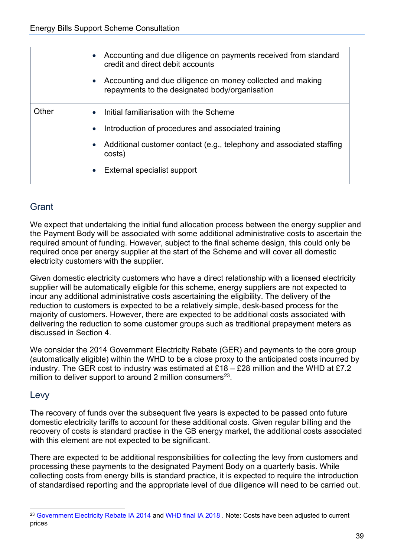|       | Accounting and due diligence on payments received from standard<br>$\bullet$<br>credit and direct debit accounts |
|-------|------------------------------------------------------------------------------------------------------------------|
|       | Accounting and due diligence on money collected and making<br>repayments to the designated body/organisation     |
| Other | • Initial familiarisation with the Scheme                                                                        |
|       | Introduction of procedures and associated training                                                               |
|       | Additional customer contact (e.g., telephony and associated staffing<br>costs)                                   |
|       | External specialist support<br>$\bullet$                                                                         |

#### <span id="page-38-0"></span>**Grant**

We expect that undertaking the initial fund allocation process between the energy supplier and the Payment Body will be associated with some additional administrative costs to ascertain the required amount of funding. However, subject to the final scheme design, this could only be required once per energy supplier at the start of the Scheme and will cover all domestic electricity customers with the supplier.

Given domestic electricity customers who have a direct relationship with a licensed electricity supplier will be automatically eligible for this scheme, energy suppliers are not expected to incur any additional administrative costs ascertaining the eligibility. The delivery of the reduction to customers is expected to be a relatively simple, desk-based process for the majority of customers. However, there are expected to be additional costs associated with delivering the reduction to some customer groups such as traditional prepayment meters as discussed in Section 4.

We consider the 2014 Government Electricity Rebate (GER) and payments to the core group (automatically eligible) within the WHD to be a close proxy to the anticipated costs incurred by industry. The GER cost to industry was estimated at  $£18 - £28$  million and the WHD at £7.2 million to deliver support to around 2 million consumers $^{23}$ .

#### <span id="page-38-1"></span>Levy

The recovery of funds over the subsequent five years is expected to be passed onto future domestic electricity tariffs to account for these additional costs. Given regular billing and the recovery of costs is standard practise in the GB energy market, the additional costs associated with this element are not expected to be significant.

There are expected to be additional responsibilities for collecting the levy from customers and processing these payments to the designated Payment Body on a quarterly basis. While collecting costs from energy bills is standard practice, it is expected to require the introduction of standardised reporting and the appropriate level of due diligence will need to be carried out.

<span id="page-38-2"></span><sup>&</sup>lt;sup>23</sup> [Government Electricity](https://assets.publishing.service.gov.uk/government/uploads/system/uploads/attachment_data/file/360461/ger_ia.pdf) Rebate IA 2014 and [WHD final IA 2018](https://assets.publishing.service.gov.uk/government/uploads/system/uploads/attachment_data/file/716463/Warm_Home_Discount_FS_IA_Signed.pdf) . Note: Costs have been adjusted to current prices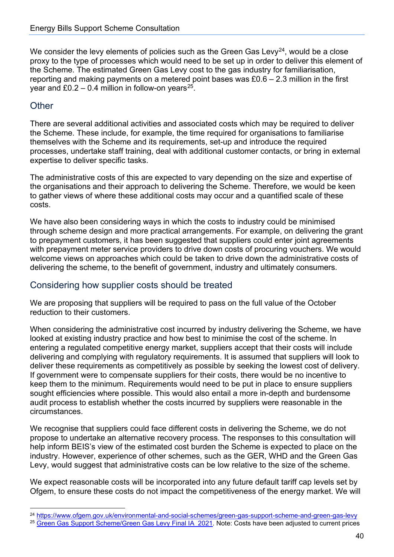We consider the levy elements of policies such as the Green Gas Levy<sup>[24](#page-39-2)</sup>, would be a close proxy to the type of processes which would need to be set up in order to deliver this element of the Scheme. The estimated Green Gas Levy cost to the gas industry for familiarisation, reporting and making payments on a metered point bases was  $£0.6 - 2.3$  million in the first year and £0.2 – 0.4 million in follow-on years<sup>[25](#page-39-3)</sup>.

#### <span id="page-39-0"></span>**Other**

There are several additional activities and associated costs which may be required to deliver the Scheme. These include, for example, the time required for organisations to familiarise themselves with the Scheme and its requirements, set-up and introduce the required processes, undertake staff training, deal with additional customer contacts, or bring in external expertise to deliver specific tasks.

The administrative costs of this are expected to vary depending on the size and expertise of the organisations and their approach to delivering the Scheme. Therefore, we would be keen to gather views of where these additional costs may occur and a quantified scale of these costs.

We have also been considering ways in which the costs to industry could be minimised through scheme design and more practical arrangements. For example, on delivering the grant to prepayment customers, it has been suggested that suppliers could enter joint agreements with prepayment meter service providers to drive down costs of procuring vouchers. We would welcome views on approaches which could be taken to drive down the administrative costs of delivering the scheme, to the benefit of government, industry and ultimately consumers.

#### <span id="page-39-1"></span>Considering how supplier costs should be treated

We are proposing that suppliers will be required to pass on the full value of the October reduction to their customers.

When considering the administrative cost incurred by industry delivering the Scheme, we have looked at existing industry practice and how best to minimise the cost of the scheme. In entering a regulated competitive energy market, suppliers accept that their costs will include delivering and complying with regulatory requirements. It is assumed that suppliers will look to deliver these requirements as competitively as possible by seeking the lowest cost of delivery. If government were to compensate suppliers for their costs, there would be no incentive to keep them to the minimum. Requirements would need to be put in place to ensure suppliers sought efficiencies where possible. This would also entail a more in-depth and burdensome audit process to establish whether the costs incurred by suppliers were reasonable in the circumstances.

We recognise that suppliers could face different costs in delivering the Scheme, we do not propose to undertake an alternative recovery process. The responses to this consultation will help inform BEIS's view of the estimated cost burden the Scheme is expected to place on the industry. However, experience of other schemes, such as the GER, WHD and the Green Gas Levy, would suggest that administrative costs can be low relative to the size of the scheme.

We expect reasonable costs will be incorporated into any future default tariff cap levels set by Ofgem, to ensure these costs do not impact the competitiveness of the energy market. We will

<span id="page-39-2"></span><sup>24</sup> <https://www.ofgem.gov.uk/environmental-and-social-schemes/green-gas-support-scheme-and-green-gas-levy>

<span id="page-39-3"></span><sup>&</sup>lt;sup>25</sup> [Green Gas Support Scheme/Green Gas Levy Final IA 2021](https://assets.publishing.service.gov.uk/government/uploads/system/uploads/attachment_data/file/1018133/green-gas-impact-assessment.pdf). Note: Costs have been adjusted to current prices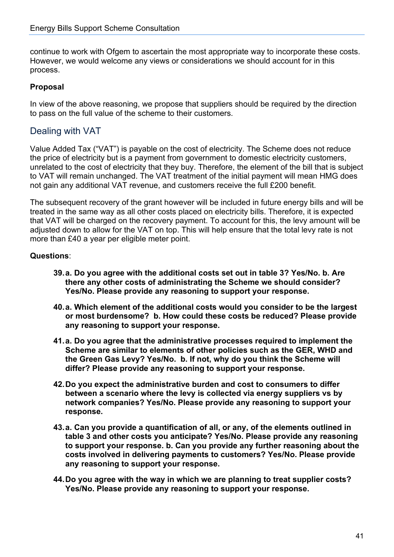continue to work with Ofgem to ascertain the most appropriate way to incorporate these costs. However, we would welcome any views or considerations we should account for in this process.

#### **Proposal**

In view of the above reasoning, we propose that suppliers should be required by the direction to pass on the full value of the scheme to their customers.

#### <span id="page-40-0"></span>Dealing with VAT

Value Added Tax ("VAT") is payable on the cost of electricity. The Scheme does not reduce the price of electricity but is a payment from government to domestic electricity customers, unrelated to the cost of electricity that they buy. Therefore, the element of the bill that is subject to VAT will remain unchanged. The VAT treatment of the initial payment will mean HMG does not gain any additional VAT revenue, and customers receive the full £200 benefit.

The subsequent recovery of the grant however will be included in future energy bills and will be treated in the same way as all other costs placed on electricity bills. Therefore, it is expected that VAT will be charged on the recovery payment. To account for this, the levy amount will be adjusted down to allow for the VAT on top. This will help ensure that the total levy rate is not more than £40 a year per eligible meter point.

#### **Questions**:

- **39.a. Do you agree with the additional costs set out in table 3? Yes/No. b. Are there any other costs of administrating the Scheme we should consider? Yes/No. Please provide any reasoning to support your response.**
- **40.a. Which element of the additional costs would you consider to be the largest or most burdensome? b. How could these costs be reduced? Please provide any reasoning to support your response.**
- **41.a. Do you agree that the administrative processes required to implement the Scheme are similar to elements of other policies such as the GER, WHD and the Green Gas Levy? Yes/No. b. If not, why do you think the Scheme will differ? Please provide any reasoning to support your response.**
- **42.Do you expect the administrative burden and cost to consumers to differ between a scenario where the levy is collected via energy suppliers vs by network companies? Yes/No. Please provide any reasoning to support your response.**
- **43.a. Can you provide a quantification of all, or any, of the elements outlined in table 3 and other costs you anticipate? Yes/No. Please provide any reasoning to support your response. b. Can you provide any further reasoning about the costs involved in delivering payments to customers? Yes/No. Please provide any reasoning to support your response.**
- **44.Do you agree with the way in which we are planning to treat supplier costs? Yes/No. Please provide any reasoning to support your response.**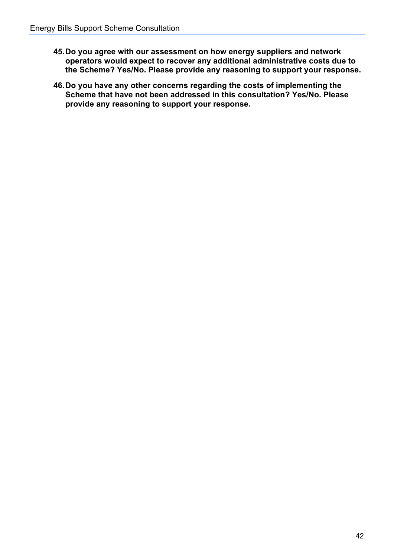- **45.Do you agree with our assessment on how energy suppliers and network operators would expect to recover any additional administrative costs due to the Scheme? Yes/No. Please provide any reasoning to support your response.**
- **46.Do you have any other concerns regarding the costs of implementing the Scheme that have not been addressed in this consultation? Yes/No. Please provide any reasoning to support your response.**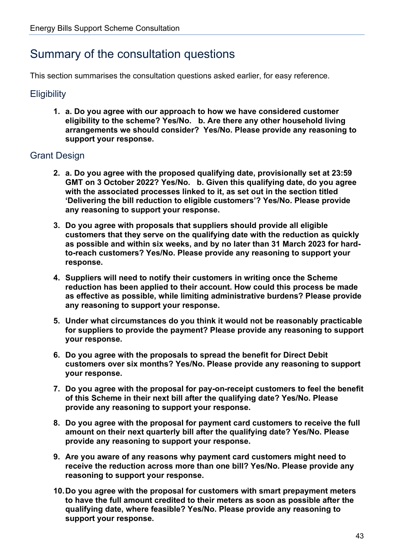### <span id="page-42-0"></span>Summary of the consultation questions

This section summarises the consultation questions asked earlier, for easy reference.

#### <span id="page-42-1"></span>**Eligibility**

**1. a. Do you agree with our approach to how we have considered customer eligibility to the scheme? Yes/No. b. Are there any other household living arrangements we should consider? Yes/No. Please provide any reasoning to support your response.**

#### <span id="page-42-2"></span>Grant Design

- **2. a. Do you agree with the proposed qualifying date, provisionally set at 23:59 GMT on 3 October 2022? Yes/No. b. Given this qualifying date, do you agree with the associated processes linked to it, as set out in the section titled 'Delivering the bill reduction to eligible customers'? Yes/No. Please provide any reasoning to support your response.**
- **3. Do you agree with proposals that suppliers should provide all eligible customers that they serve on the qualifying date with the reduction as quickly as possible and within six weeks, and by no later than 31 March 2023 for hardto-reach customers? Yes/No. Please provide any reasoning to support your response.**
- **4. Suppliers will need to notify their customers in writing once the Scheme reduction has been applied to their account. How could this process be made as effective as possible, while limiting administrative burdens? Please provide any reasoning to support your response.**
- **5. Under what circumstances do you think it would not be reasonably practicable for suppliers to provide the payment? Please provide any reasoning to support your response.**
- **6. Do you agree with the proposals to spread the benefit for Direct Debit customers over six months? Yes/No. Please provide any reasoning to support your response.**
- **7. Do you agree with the proposal for pay-on-receipt customers to feel the benefit of this Scheme in their next bill after the qualifying date? Yes/No. Please provide any reasoning to support your response.**
- **8. Do you agree with the proposal for payment card customers to receive the full amount on their next quarterly bill after the qualifying date? Yes/No. Please provide any reasoning to support your response.**
- **9. Are you aware of any reasons why payment card customers might need to receive the reduction across more than one bill? Yes/No. Please provide any reasoning to support your response.**
- **10.Do you agree with the proposal for customers with smart prepayment meters to have the full amount credited to their meters as soon as possible after the qualifying date, where feasible? Yes/No. Please provide any reasoning to support your response.**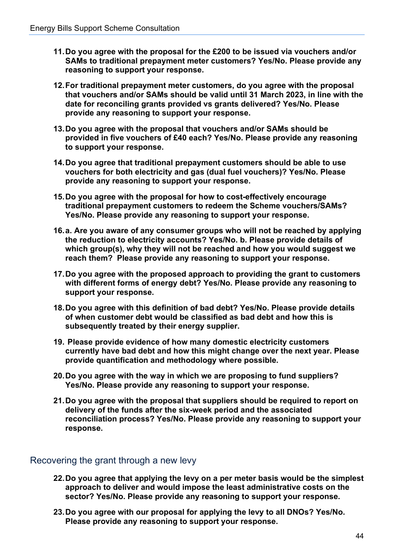- **11.Do you agree with the proposal for the £200 to be issued via vouchers and/or SAMs to traditional prepayment meter customers? Yes/No. Please provide any reasoning to support your response.**
- **12.For traditional prepayment meter customers, do you agree with the proposal that vouchers and/or SAMs should be valid until 31 March 2023, in line with the date for reconciling grants provided vs grants delivered? Yes/No. Please provide any reasoning to support your response.**
- **13.Do you agree with the proposal that vouchers and/or SAMs should be provided in five vouchers of £40 each? Yes/No. Please provide any reasoning to support your response.**
- **14.Do you agree that traditional prepayment customers should be able to use vouchers for both electricity and gas (dual fuel vouchers)? Yes/No. Please provide any reasoning to support your response.**
- **15.Do you agree with the proposal for how to cost-effectively encourage traditional prepayment customers to redeem the Scheme vouchers/SAMs? Yes/No. Please provide any reasoning to support your response.**
- **16.a. Are you aware of any consumer groups who will not be reached by applying the reduction to electricity accounts? Yes/No. b. Please provide details of which group(s), why they will not be reached and how you would suggest we reach them? Please provide any reasoning to support your response.**
- **17.Do you agree with the proposed approach to providing the grant to customers with different forms of energy debt? Yes/No. Please provide any reasoning to support your response.**
- **18.Do you agree with this definition of bad debt? Yes/No. Please provide details of when customer debt would be classified as bad debt and how this is subsequently treated by their energy supplier.**
- **19. Please provide evidence of how many domestic electricity customers currently have bad debt and how this might change over the next year. Please provide quantification and methodology where possible.**
- **20.Do you agree with the way in which we are proposing to fund suppliers? Yes/No. Please provide any reasoning to support your response.**
- **21.Do you agree with the proposal that suppliers should be required to report on delivery of the funds after the six-week period and the associated reconciliation process? Yes/No. Please provide any reasoning to support your response.**

#### <span id="page-43-0"></span>Recovering the grant through a new levy

- **22.Do you agree that applying the levy on a per meter basis would be the simplest approach to deliver and would impose the least administrative costs on the sector? Yes/No. Please provide any reasoning to support your response.**
- **23.Do you agree with our proposal for applying the levy to all DNOs? Yes/No. Please provide any reasoning to support your response.**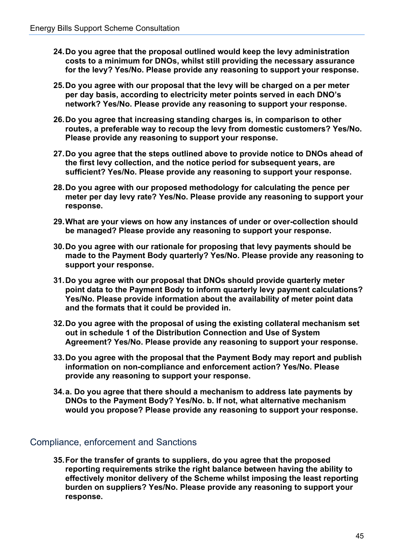- **24.Do you agree that the proposal outlined would keep the levy administration costs to a minimum for DNOs, whilst still providing the necessary assurance for the levy? Yes/No. Please provide any reasoning to support your response.**
- **25.Do you agree with our proposal that the levy will be charged on a per meter per day basis, according to electricity meter points served in each DNO's network? Yes/No. Please provide any reasoning to support your response.**
- **26.Do you agree that increasing standing charges is, in comparison to other routes, a preferable way to recoup the levy from domestic customers? Yes/No. Please provide any reasoning to support your response.**
- **27.Do you agree that the steps outlined above to provide notice to DNOs ahead of the first levy collection, and the notice period for subsequent years, are sufficient? Yes/No. Please provide any reasoning to support your response.**
- **28.Do you agree with our proposed methodology for calculating the pence per meter per day levy rate? Yes/No. Please provide any reasoning to support your response.**
- **29.What are your views on how any instances of under or over-collection should be managed? Please provide any reasoning to support your response.**
- **30.Do you agree with our rationale for proposing that levy payments should be made to the Payment Body quarterly? Yes/No. Please provide any reasoning to support your response.**
- **31.Do you agree with our proposal that DNOs should provide quarterly meter point data to the Payment Body to inform quarterly levy payment calculations? Yes/No. Please provide information about the availability of meter point data and the formats that it could be provided in.**
- **32.Do you agree with the proposal of using the existing collateral mechanism set out in schedule 1 of the Distribution Connection and Use of System Agreement? Yes/No. Please provide any reasoning to support your response.**
- **33.Do you agree with the proposal that the Payment Body may report and publish information on non-compliance and enforcement action? Yes/No. Please provide any reasoning to support your response.**
- **34.a. Do you agree that there should a mechanism to address late payments by DNOs to the Payment Body? Yes/No. b. If not, what alternative mechanism would you propose? Please provide any reasoning to support your response.**

#### <span id="page-44-0"></span>Compliance, enforcement and Sanctions

**35.For the transfer of grants to suppliers, do you agree that the proposed reporting requirements strike the right balance between having the ability to effectively monitor delivery of the Scheme whilst imposing the least reporting burden on suppliers? Yes/No. Please provide any reasoning to support your response.**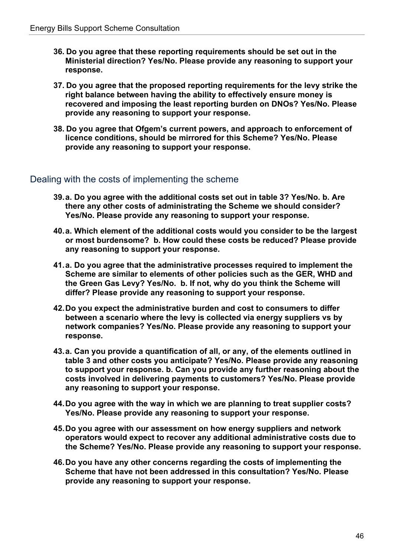- **36. Do you agree that these reporting requirements should be set out in the Ministerial direction? Yes/No. Please provide any reasoning to support your response.**
- **37. Do you agree that the proposed reporting requirements for the levy strike the right balance between having the ability to effectively ensure money is recovered and imposing the least reporting burden on DNOs? Yes/No. Please provide any reasoning to support your response.**
- **38. Do you agree that Ofgem's current powers, and approach to enforcement of licence conditions, should be mirrored for this Scheme? Yes/No. Please provide any reasoning to support your response.**

#### <span id="page-45-0"></span>Dealing with the costs of implementing the scheme

- **39.a. Do you agree with the additional costs set out in table 3? Yes/No. b. Are there any other costs of administrating the Scheme we should consider? Yes/No. Please provide any reasoning to support your response.**
- **40.a. Which element of the additional costs would you consider to be the largest or most burdensome? b. How could these costs be reduced? Please provide any reasoning to support your response.**
- **41.a. Do you agree that the administrative processes required to implement the Scheme are similar to elements of other policies such as the GER, WHD and the Green Gas Levy? Yes/No. b. If not, why do you think the Scheme will differ? Please provide any reasoning to support your response.**
- **42.Do you expect the administrative burden and cost to consumers to differ between a scenario where the levy is collected via energy suppliers vs by network companies? Yes/No. Please provide any reasoning to support your response.**
- **43.a. Can you provide a quantification of all, or any, of the elements outlined in table 3 and other costs you anticipate? Yes/No. Please provide any reasoning to support your response. b. Can you provide any further reasoning about the costs involved in delivering payments to customers? Yes/No. Please provide any reasoning to support your response.**
- **44.Do you agree with the way in which we are planning to treat supplier costs? Yes/No. Please provide any reasoning to support your response.**
- **45.Do you agree with our assessment on how energy suppliers and network operators would expect to recover any additional administrative costs due to the Scheme? Yes/No. Please provide any reasoning to support your response.**
- **46.Do you have any other concerns regarding the costs of implementing the Scheme that have not been addressed in this consultation? Yes/No. Please provide any reasoning to support your response.**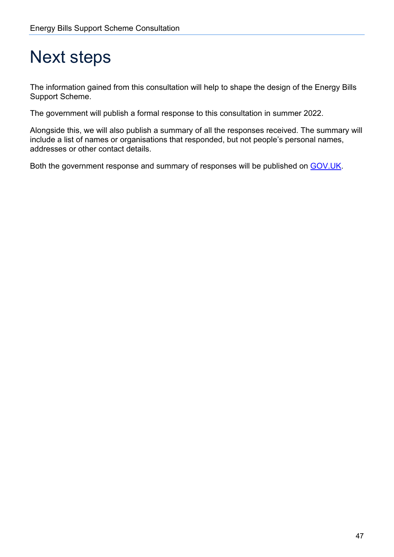## <span id="page-46-0"></span>Next steps

The information gained from this consultation will help to shape the design of the Energy Bills Support Scheme.

The government will publish a formal response to this consultation in summer 2022.

Alongside this, we will also publish a summary of all the responses received. The summary will include a list of names or organisations that responded, but not people's personal names, addresses or other contact details.

Both the government response and summary of responses will be published on [GOV.UK.](https://www.gov.uk/government/publications?keywords=&publication_filter_option=closed-consultations&topics%5B%5D=all&departments%5B%5D=department-for-business-energy-and-industrial-strategy&official_document_status=all&world_locations%5B%5D=all&from_date=&to_date=)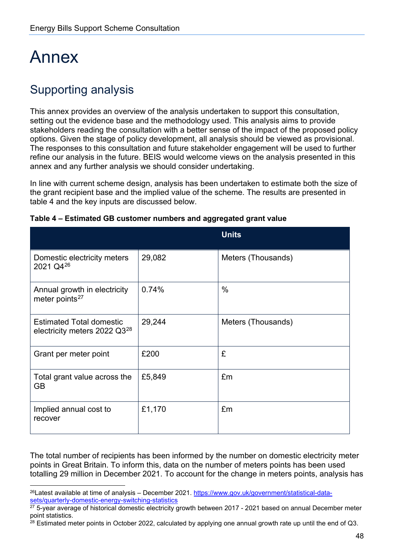## <span id="page-47-0"></span>Annex

## <span id="page-47-1"></span>Supporting analysis

This annex provides an overview of the analysis undertaken to support this consultation, setting out the evidence base and the methodology used. This analysis aims to provide stakeholders reading the consultation with a better sense of the impact of the proposed policy options. Given the stage of policy development, all analysis should be viewed as provisional. The responses to this consultation and future stakeholder engagement will be used to further refine our analysis in the future. BEIS would welcome views on the analysis presented in this annex and any further analysis we should consider undertaking.

In line with current scheme design, analysis has been undertaken to estimate both the size of the grant recipient base and the implied value of the scheme. The results are presented in table 4 and the key inputs are discussed below.

|                                                                             |        | <b>Units</b>       |
|-----------------------------------------------------------------------------|--------|--------------------|
| Domestic electricity meters<br>2021 Q4 <sup>26</sup>                        | 29,082 | Meters (Thousands) |
| Annual growth in electricity<br>meter points <sup>27</sup>                  | 0.74%  | $\frac{0}{0}$      |
| <b>Estimated Total domestic</b><br>electricity meters 2022 Q3 <sup>28</sup> | 29,244 | Meters (Thousands) |
| Grant per meter point                                                       | £200   | £                  |
| Total grant value across the<br>GB                                          | £5,849 | £m                 |
| Implied annual cost to<br>recover                                           | £1,170 | £m                 |

| Table 4 – Estimated GB customer numbers and aggregated grant value |  |  |  |
|--------------------------------------------------------------------|--|--|--|
|--------------------------------------------------------------------|--|--|--|

The total number of recipients has been informed by the number on domestic electricity meter points in Great Britain. To inform this, data on the number of meters points has been used totalling 29 million in December 2021. To account for the change in meters points, analysis has

<span id="page-47-2"></span><sup>26</sup>Latest available at time of analysis – December 2021. [https://www.gov.uk/government/statistical-data](https://www.gov.uk/government/statistical-data-sets/quarterly-domestic-energy-switching-statistics)[sets/quarterly-domestic-energy-switching-statistics](https://www.gov.uk/government/statistical-data-sets/quarterly-domestic-energy-switching-statistics)

<span id="page-47-3"></span> $27$  5-year average of historical domestic electricity growth between 2017 - 2021 based on annual December meter point statistics.

<span id="page-47-4"></span> $28$  Estimated meter points in October 2022, calculated by applying one annual growth rate up until the end of Q3.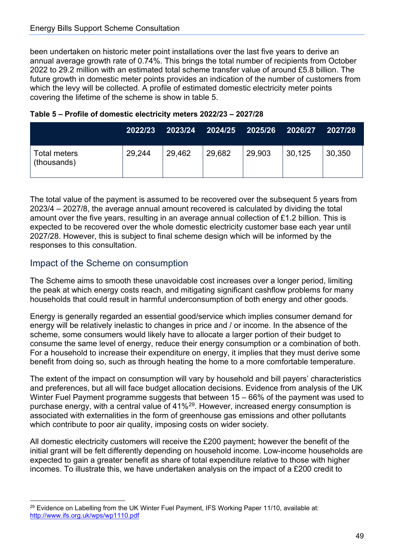been undertaken on historic meter point installations over the last five years to derive an annual average growth rate of 0.74%. This brings the total number of recipients from October 2022 to 29.2 million with an estimated total scheme transfer value of around £5.8 billion. The future growth in domestic meter points provides an indication of the number of customers from which the levy will be collected. A profile of estimated domestic electricity meter points covering the lifetime of the scheme is show in table 5.

|                                    | 2022/23 |        |        | 2023/24 2024/25 2025/26 2026/27 |        | 2027/28 |
|------------------------------------|---------|--------|--------|---------------------------------|--------|---------|
| <b>Total meters</b><br>(thousands) | 29,244  | 29.462 | 29,682 | 29,903                          | 30,125 | 30,350  |

#### **Table 5 – Profile of domestic electricity meters 2022/23 – 2027/28**

The total value of the payment is assumed to be recovered over the subsequent 5 years from 2023/4 – 2027/8, the average annual amount recovered is calculated by dividing the total amount over the five years, resulting in an average annual collection of £1.2 billion. This is expected to be recovered over the whole domestic electricity customer base each year until 2027/28. However, this is subject to final scheme design which will be informed by the responses to this consultation.

#### <span id="page-48-0"></span>Impact of the Scheme on consumption

The Scheme aims to smooth these unavoidable cost increases over a longer period, limiting the peak at which energy costs reach, and mitigating significant cashflow problems for many households that could result in harmful underconsumption of both energy and other goods.

Energy is generally regarded an essential good/service which implies consumer demand for energy will be relatively inelastic to changes in price and / or income. In the absence of the scheme, some consumers would likely have to allocate a larger portion of their budget to consume the same level of energy, reduce their energy consumption or a combination of both. For a household to increase their expenditure on energy, it implies that they must derive some benefit from doing so, such as through heating the home to a more comfortable temperature.

The extent of the impact on consumption will vary by household and bill payers' characteristics and preferences, but all will face budget allocation decisions. Evidence from analysis of the UK Winter Fuel Payment programme suggests that between 15 – 66% of the payment was used to purchase energy, with a central value of 41%[29](#page-48-1). However, increased energy consumption is associated with externalities in the form of greenhouse gas emissions and other pollutants which contribute to poor air quality, imposing costs on wider society.

All domestic electricity customers will receive the £200 payment; however the benefit of the initial grant will be felt differently depending on household income. Low-income households are expected to gain a greater benefit as share of total expenditure relative to those with higher incomes. To illustrate this, we have undertaken analysis on the impact of a £200 credit to

<span id="page-48-1"></span><sup>&</sup>lt;sup>29</sup> Evidence on Labelling from the UK Winter Fuel Payment, IFS Working Paper 11/10, available at: [http://www.ifs.org.uk/wps/wp1110.pdf](https://eur02.safelinks.protection.outlook.com/?url=http%3A%2F%2Fwww.ifs.org.uk%2Fwps%2Fwp1110.pdf&data=04%7C01%7CJames.Darke%40beis.gov.uk%7C32feca83fbfd44ca790908da0052f648%7Ccbac700502c143ebb497e6492d1b2dd8%7C0%7C0%7C637822654612989860%7CUnknown%7CTWFpbGZsb3d8eyJWIjoiMC4wLjAwMDAiLCJQIjoiV2luMzIiLCJBTiI6Ik1haWwiLCJXVCI6Mn0%3D%7C3000&sdata=JRjmkdUI4NG0umqiqtplr032DdmL2RfJ25ftpTE0CqI%3D&reserved=0)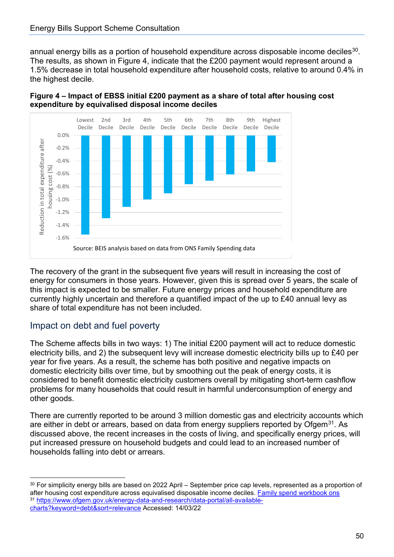#### Energy Bills Support Scheme Consultation

annual energy bills as a portion of household expenditure across disposable income deciles<sup>[30](#page-49-1)</sup>. The results, as shown in Figure 4, indicate that the £200 payment would represent around a 1.5% decrease in total household expenditure after household costs, relative to around 0.4% in the highest decile.





The recovery of the grant in the subsequent five years will result in increasing the cost of energy for consumers in those years. However, given this is spread over 5 years, the scale of this impact is expected to be smaller. Future energy prices and household expenditure are currently highly uncertain and therefore a quantified impact of the up to £40 annual levy as share of total expenditure has not been included.

#### <span id="page-49-0"></span>Impact on debt and fuel poverty

The Scheme affects bills in two ways: 1) The initial £200 payment will act to reduce domestic electricity bills, and 2) the subsequent levy will increase domestic electricity bills up to £40 per year for five years. As a result, the scheme has both positive and negative impacts on domestic electricity bills over time, but by smoothing out the peak of energy costs, it is considered to benefit domestic electricity customers overall by mitigating short-term cashflow problems for many households that could result in harmful underconsumption of energy and other goods.

There are currently reported to be around 3 million domestic gas and electricity accounts which are either in debt or arrears, based on data from energy suppliers reported by Ofgem<sup>31</sup>. As discussed above, the recent increases in the costs of living, and specifically energy prices, will put increased pressure on household budgets and could lead to an increased number of households falling into debt or arrears.

<span id="page-49-2"></span><span id="page-49-1"></span><sup>&</sup>lt;sup>30</sup> For simplicity energy bills are based on 2022 April – September price cap levels, represented as a proportion of after housing cost expenditure across equivalised disposable income deciles. Family spend [workbook ons](https://www.ons.gov.uk/peoplepopulationandcommunity/personalandhouseholdfinances/expenditure/datasets/familyspendingworkbook1detailedexpenditureandtrends) 31 [https://www.ofgem.gov.uk/energy-data-and-research/data-portal/all-available](https://www.ofgem.gov.uk/energy-data-and-research/data-portal/all-available-charts?keyword=debt&sort=relevance)[charts?keyword=debt&sort=relevance](https://www.ofgem.gov.uk/energy-data-and-research/data-portal/all-available-charts?keyword=debt&sort=relevance) Accessed: 14/03/22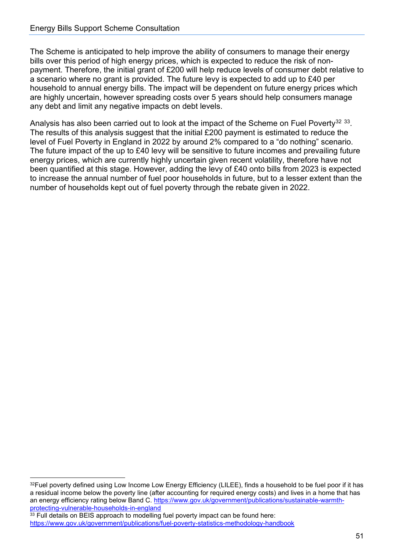The Scheme is anticipated to help improve the ability of consumers to manage their energy bills over this period of high energy prices, which is expected to reduce the risk of nonpayment. Therefore, the initial grant of £200 will help reduce levels of consumer debt relative to a scenario where no grant is provided. The future levy is expected to add up to £40 per household to annual energy bills. The impact will be dependent on future energy prices which are highly uncertain, however spreading costs over 5 years should help consumers manage any debt and limit any negative impacts on debt levels.

Analysis has also been carried out to look at the impact of the Scheme on Fuel Poverty<sup>[32](#page-50-0)</sup> [33.](#page-50-1) The results of this analysis suggest that the initial £200 payment is estimated to reduce the level of Fuel Poverty in England in 2022 by around 2% compared to a "do nothing" scenario. The future impact of the up to £40 levy will be sensitive to future incomes and prevailing future energy prices, which are currently highly uncertain given recent volatility, therefore have not been quantified at this stage. However, adding the levy of £40 onto bills from 2023 is expected to increase the annual number of fuel poor households in future, but to a lesser extent than the number of households kept out of fuel poverty through the rebate given in 2022.

<span id="page-50-0"></span> $32$ Fuel poverty defined using Low Income Low Energy Efficiency (LILEE), finds a household to be fuel poor if it has a residual income below the poverty line (after accounting for required energy costs) and lives in a home that has an energy efficiency rating below Band C. [https://www.gov.uk/government/publications/sustainable-warmth](https://www.gov.uk/government/publications/sustainable-warmth-protecting-vulnerable-households-in-england)[protecting-vulnerable-households-in-england](https://www.gov.uk/government/publications/sustainable-warmth-protecting-vulnerable-households-in-england)

<span id="page-50-1"></span><sup>&</sup>lt;sup>33</sup> Full details on BEIS approach to modelling fuel poverty impact can be found here: <https://www.gov.uk/government/publications/fuel-poverty-statistics-methodology-handbook>